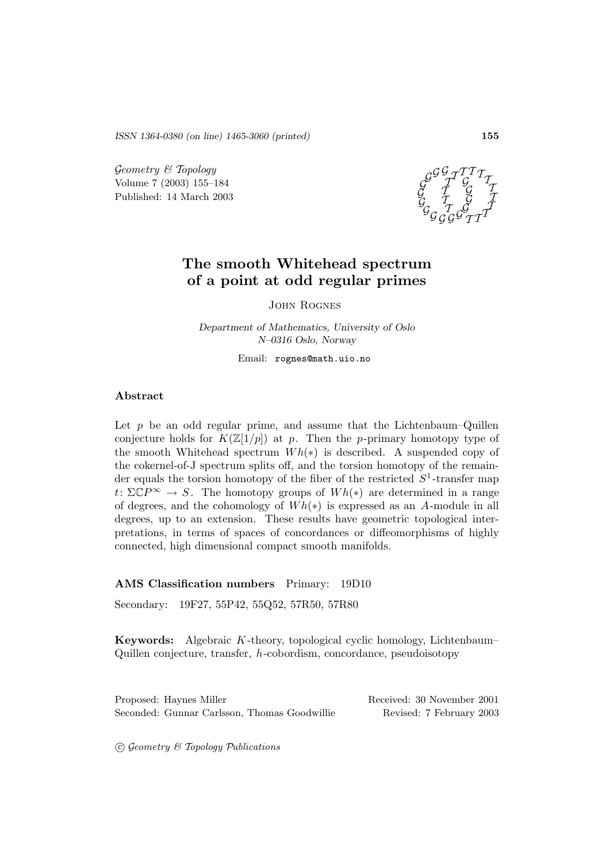*ISSN 1364-0380 (on line) 1465-3060 (printed)* **155**

 $Geometry \& Topology$ Volume 7 (2003) 155–184 Published: 14 March 2003



# **The smooth Whitehead spectrum of a point at odd regular primes**

John Rognes

*Department of Mathematics, University of Oslo N–0316 Oslo, Norway*

Email: rognes@math.uio.no

## **Abstract**

Let  $p$  be an odd regular prime, and assume that the Lichtenbaum–Quillen conjecture holds for  $K(\mathbb{Z}[1/p])$  at p. Then the p-primary homotopy type of the smooth Whitehead spectrum  $Wh(*)$  is described. A suspended copy of the cokernel-of-J spectrum splits off, and the torsion homotopy of the remainder equals the torsion homotopy of the fiber of the restricted  $S<sup>1</sup>$ -transfer map  $t: \Sigma \mathbb{C}P^{\infty} \to S$ . The homotopy groups of  $Wh(*)$  are determined in a range of degrees, and the cohomology of  $Wh(*)$  is expressed as an A-module in all degrees, up to an extension. These results have geometric topological interpretations, in terms of spaces of concordances or diffeomorphisms of highly connected, high dimensional compact smooth manifolds.

### **AMS Classification numbers** Primary: 19D10

Secondary: 19F27, 55P42, 55Q52, 57R50, 57R80

**Keywords:** Algebraic K-theory, topological cyclic homology, Lichtenbaum– Quillen conjecture, transfer, h-cobordism, concordance, pseudoisotopy

Proposed: Haynes Miller Received: 30 November 2001 Seconded: Gunnar Carlsson, Thomas Goodwillie Revised: 7 February 2003

G *c* eometry & Topology Publications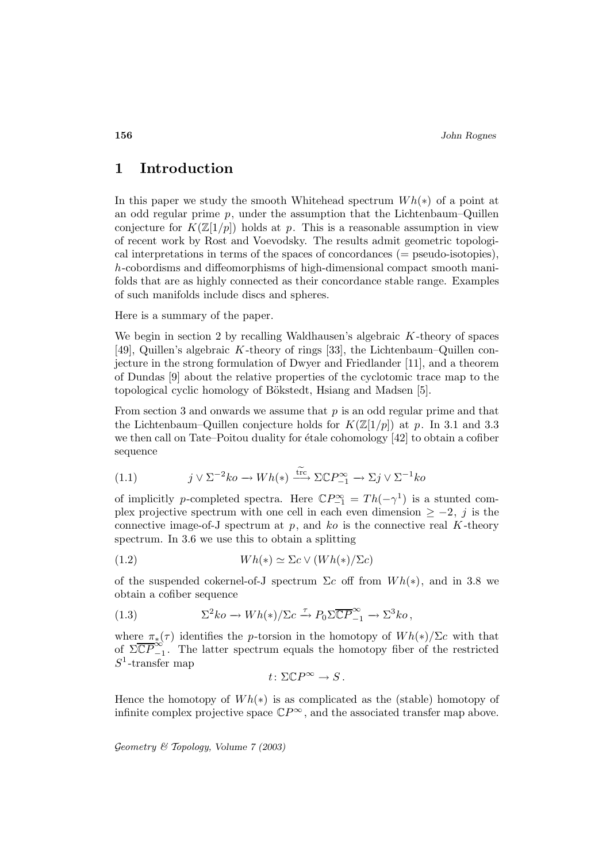# **1 Introduction**

In this paper we study the smooth Whitehead spectrum  $Wh(*)$  of a point at an odd regular prime  $p$ , under the assumption that the Lichtenbaum–Quillen conjecture for  $K(\mathbb{Z}[1/p])$  holds at p. This is a reasonable assumption in view of recent work by Rost and Voevodsky. The results admit geometric topological interpretations in terms of the spaces of concordances (= pseudo-isotopies), h-cobordisms and diffeomorphisms of high-dimensional compact smooth manifolds that are as highly connected as their concordance stable range. Examples of such manifolds include discs and spheres.

Here is a summary of the paper.

We begin in section 2 by recalling Waldhausen's algebraic  $K$ -theory of spaces [49], Quillen's algebraic K-theory of rings [33], the Lichtenbaum–Quillen conjecture in the strong formulation of Dwyer and Friedlander [11], and a theorem of Dundas [9] about the relative properties of the cyclotomic trace map to the topological cyclic homology of Bökstedt, Hsiang and Madsen [5].

From section 3 and onwards we assume that  $p$  is an odd regular prime and that the Lichtenbaum–Quillen conjecture holds for  $K(\mathbb{Z}[1/p])$  at p. In 3.1 and 3.3 we then call on Tate–Poitou duality for étale cohomology  $[42]$  to obtain a cofiber sequence

(1.1) 
$$
j \vee \Sigma^{-2} ko \to Wh(*) \xrightarrow{\text{trc}} \Sigma \mathbb{C}P_{-1}^{\infty} \to \Sigma j \vee \Sigma^{-1} ko
$$

of implicitly p-completed spectra. Here  $\mathbb{C}P_{-1}^{\infty} = Th(-\gamma^1)$  is a stunted complex projective spectrum with one cell in each even dimension  $\geq -2$ , j is the connective image-of-J spectrum at  $p$ , and  $ko$  is the connective real  $K$ -theory spectrum. In 3.6 we use this to obtain a splitting

(1.2) 
$$
Wh(*) \simeq \Sigma c \vee (Wh(*)/\Sigma c)
$$

of the suspended cokernel-of-J spectrum  $\Sigma c$  off from  $Wh(*)$ , and in 3.8 we obtain a cofiber sequence

(1.3) 
$$
\Sigma^2 ko \to Wh(*)/\Sigma c \xrightarrow{\tau} P_0 \Sigma \overline{\mathbb{C}P}^{\infty}_{-1} \to \Sigma^3 ko,
$$

where  $\pi_*(\tau)$  identifies the p-torsion in the homotopy of  $Wh(*)/\Sigma c$  with that of  $\Sigma \overline{\mathbb{CP}}_{-1}^{\infty}$ . The latter spectrum equals the homotopy fiber of the restricted  $S^1$ -transfer map

$$
t\colon \Sigma \mathbb{C}P^{\infty} \to S.
$$

Hence the homotopy of  $Wh(*)$  is as complicated as the (stable) homotopy of infinite complex projective space  $\mathbb{C}P^{\infty}$ , and the associated transfer map above.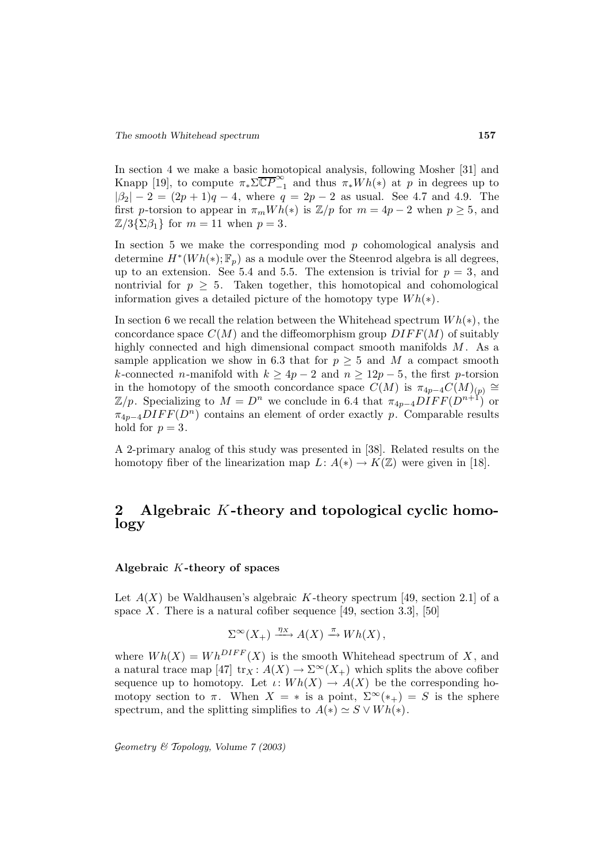In section 4 we make a basic homotopical analysis, following Mosher [31] and Knapp [19], to compute  $\pi_*\Sigma\overline{\mathbb{CP}}_{-1}^{\infty}$  and thus  $\pi_*Wh(*)$  at p in degrees up to  $|\beta_2| - 2 = (2p + 1)q - 4$ , where  $q = 2p - 2$  as usual. See 4.7 and 4.9. The first p-torsion to appear in  $\pi_m Wh(*)$  is  $\mathbb{Z}/p$  for  $m = 4p - 2$  when  $p \geq 5$ , and  $\mathbb{Z}/3\{\Sigma\beta_1\}$  for  $m=11$  when  $p=3$ .

In section 5 we make the corresponding mod  $p$  cohomological analysis and determine  $H^*(Wh(*); \mathbb{F}_p)$  as a module over the Steenrod algebra is all degrees, up to an extension. See 5.4 and 5.5. The extension is trivial for  $p = 3$ , and nontrivial for  $p \geq 5$ . Taken together, this homotopical and cohomological information gives a detailed picture of the homotopy type  $Wh(*)$ .

In section 6 we recall the relation between the Whitehead spectrum  $Wh(*)$ , the concordance space  $C(M)$  and the diffeomorphism group  $DIFF(M)$  of suitably highly connected and high dimensional compact smooth manifolds  $M$ . As a sample application we show in 6.3 that for  $p \geq 5$  and M a compact smooth k-connected n-manifold with  $k \ge 4p-2$  and  $n \ge 12p-5$ , the first p-torsion in the homotopy of the smooth concordance space  $C(M)$  is  $\pi_{4p-4}C(M)_{(p)} \cong$  $\mathbb{Z}/p$ . Specializing to  $M = D^n$  we conclude in 6.4 that  $\pi_{4p-4}DIFF(D^{n+1})$  or  $\pi_{4p-4} DIFF(D^n)$  contains an element of order exactly p. Comparable results hold for  $p = 3$ .

A 2-primary analog of this study was presented in [38]. Related results on the homotopy fiber of the linearization map  $L: A(*) \to K(\mathbb{Z})$  were given in [18].

# **2 Algebraic** K**-theory and topological cyclic homology**

## **Algebraic** K**-theory of spaces**

Let  $A(X)$  be Waldhausen's algebraic K-theory spectrum [49, section 2.1] of a space X. There is a natural cofiber sequence [49, section 3.3], [50]

$$
\Sigma^{\infty}(X_+) \xrightarrow{\eta_X} A(X) \xrightarrow{\pi} Wh(X),
$$

where  $Wh(X) = Wh^{DIFF}(X)$  is the smooth Whitehead spectrum of X, and a natural trace map [47]  $\text{tr}_X : A(X) \to \Sigma^{\infty}(X_+)$  which splits the above cofiber sequence up to homotopy. Let  $\iota: Wh(X) \to A(X)$  be the corresponding homotopy section to  $\pi$ . When  $X = *$  is a point,  $\Sigma^{\infty}(*_+) = S$  is the sphere spectrum, and the splitting simplifies to  $A(*) \simeq S \vee Wh(*)$ .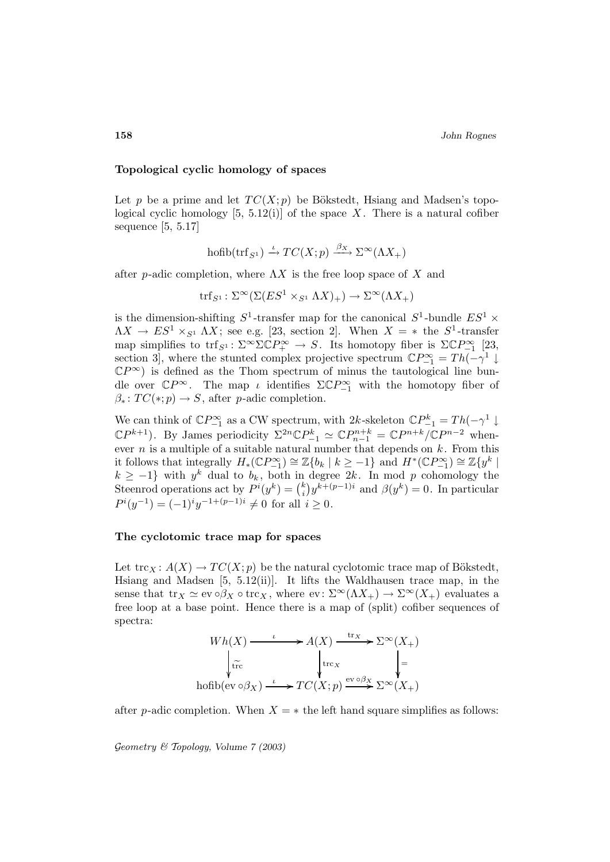**158** *John Rognes*

### **Topological cyclic homology of spaces**

Let p be a prime and let  $TC(X; p)$  be Bökstedt, Hsiang and Madsen's topological cyclic homology  $[5, 5.12(i)]$  of the space X. There is a natural cofiber sequence [5, 5.17]

$$
\operatorname{hofib}(\operatorname{trf}_{S^1}) \xrightarrow{\iota} TC(X;p) \xrightarrow{\beta_X} \Sigma^{\infty}(\Lambda X_+)
$$

after p-adic completion, where  $\Lambda X$  is the free loop space of X and

$$
\text{trf}_{S^1}: \Sigma^\infty(\Sigma(ES^1 \times_{S^1} \Lambda X)_+) \to \Sigma^\infty(\Lambda X_+)
$$

is the dimension-shifting  $S^1$ -transfer map for the canonical  $S^1$ -bundle  $ES^1$  ×  $\Lambda X \to ES^1 \times_{S^1} \Lambda X$ ; see e.g. [23, section 2]. When  $X = *$  the  $S^1$ -transfer map simplifies to trf<sub>S<sup>1</sub></sup>:  $\Sigma^{\infty} \Sigma \mathbb{C} P^{\infty}_{+} \to S$ . Its homotopy fiber is  $\Sigma \mathbb{C} P^{\infty}_{-1}$  [23,</sub> section 3, where the stunted complex projective spectrum  $\mathbb{C}P_{-1}^{\infty} = Th(-\gamma^1 \downarrow$  $\mathbb{C}P^{\infty}$  is defined as the Thom spectrum of minus the tautological line bundle over  $\mathbb{C}P^{\infty}$ . The map *ι* identifies  $\Sigma \mathbb{C}P^{\infty}_{-1}$  with the homotopy fiber of  $\beta_*: TC(*; p) \to S$ , after p-adic completion.

We can think of  $\mathbb{C}P_{-1}^{\infty}$  as a CW spectrum, with  $2k$ -skeleton  $\mathbb{C}P_{-1}^k = Th(-\gamma^1 \downarrow$  $\mathbb{C}P^{k+1}$ ). By James periodicity  $\Sigma^{2n}\mathbb{C}P_{-1}^{k} \simeq \mathbb{C}P_{n-1}^{n+k} = \mathbb{C}P^{n+k}/\mathbb{C}P^{n-2}$  whenever  $n$  is a multiple of a suitable natural number that depends on  $k$ . From this it follows that integrally  $H_*(\mathbb{C}P_{-1}^{\infty}) \cong \mathbb{Z}\{b_k \mid k \geq -1\}$  and  $H^*(\mathbb{C}P_{-1}^{\infty}) \cong \mathbb{Z}\{y^k \mid k \geq -1\}$  $k \geq -1$ } with  $y^k$  dual to  $b_k$ , both in degree 2k. In mod p cohomology the Steenrod operations act by  $P^{i}(y^{k}) = {k \choose i} y^{k+(p-1)i}$  and  $\beta(y^{k}) = 0$ . In particular  $P^{i}(y^{-1}) = (-1)^{i}y^{-1+(p-1)i} \neq 0$  for all  $i \geq 0$ .

#### **The cyclotomic trace map for spaces**

Let  $\text{trc}_X : A(X) \to TC(X; p)$  be the natural cyclotomic trace map of Bökstedt, Hsiang and Madsen [5, 5.12(ii)]. It lifts the Waldhausen trace map, in the sense that  $\text{tr}_X \simeq \text{ev} \circ \beta_X \circ \text{tr} \circ_X$ , where  $\text{ev} \colon \Sigma^{\infty}(\Lambda X_+) \to \Sigma^{\infty}(X_+)$  evaluates a free loop at a base point. Hence there is a map of (split) cofiber sequences of spectra:

$$
Wh(X) \xrightarrow{\iota} A(X) \xrightarrow{\text{tr}_X} \Sigma^{\infty}(X_+)
$$

$$
\downarrow_{\text{tr}_C}^{\text{tr}_C} \qquad \qquad \downarrow_{\text{tr}_X}^{\text{tr}_X} \qquad \qquad \downarrow =
$$

$$
\text{hofib}(ev \circ \beta_X) \xrightarrow{\iota} TC(X; p) \xrightarrow{\text{ev} \circ \beta_X} \Sigma^{\infty}(X_+)
$$

after p-adic completion. When  $X = *$  the left hand square simplifies as follows: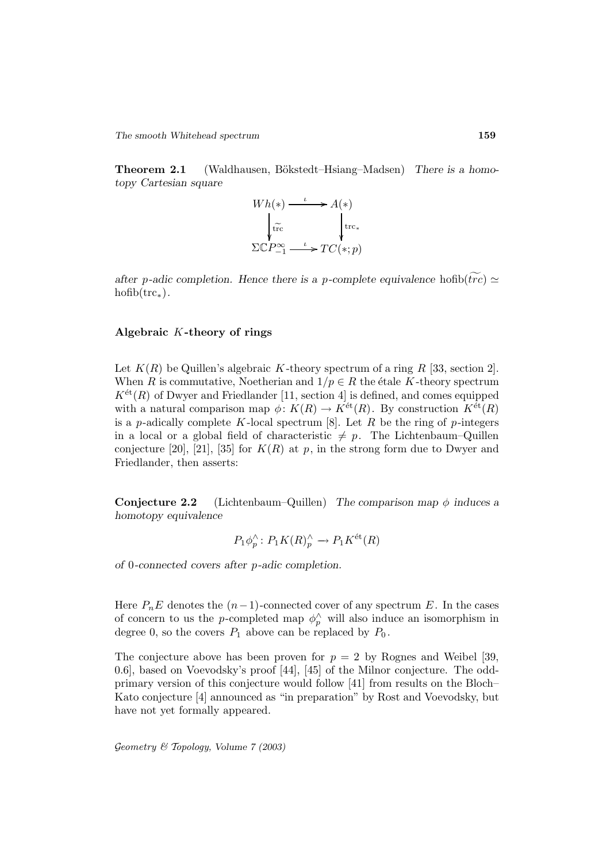**Theorem 2.1** (Waldhausen, Bökstedt–Hsiang–Madsen) There is a homo*topy Cartesian square*



*after* p-adic completion. Hence there is a p-complete equivalence hoftb $(\widetilde{trc}) \simeq$ hofib(trc∗)*.*

### **Algebraic** K**-theory of rings**

Let  $K(R)$  be Quillen's algebraic K-theory spectrum of a ring R [33, section 2]. When R is commutative, Noetherian and  $1/p \in R$  the étale K-theory spectrum  $K^{\text{\'et}}(R)$  of Dwyer and Friedlander [11, section 4] is defined, and comes equipped with a natural comparison map  $\phi: K(R) \to K^{\text{\'et}}(R)$ . By construction  $K^{\text{\'et}}(R)$ is a p-adically complete K-local spectrum  $[8]$ . Let R be the ring of p-integers in a local or a global field of characteristic  $\neq p$ . The Lichtenbaum–Quillen conjecture [20], [21], [35] for  $K(R)$  at p, in the strong form due to Dwyer and Friedlander, then asserts:

**Conjecture 2.2** (Lichtenbaum–Quillen) *The comparison map* φ *induces a homotopy equivalence*

$$
P_1 \phi_p^{\wedge} \colon P_1 K(R)_p^{\wedge} \to P_1 K^{\text{\'et}}(R)
$$

*of* 0*-connected covers after* p*-adic completion.*

Here  $P_nE$  denotes the  $(n-1)$ -connected cover of any spectrum E. In the cases of concern to us the p-completed map  $\phi_p^{\wedge}$  will also induce an isomorphism in degree 0, so the covers  $P_1$  above can be replaced by  $P_0$ .

The conjecture above has been proven for  $p = 2$  by Rognes and Weibel [39, 0.6], based on Voevodsky's proof [44], [45] of the Milnor conjecture. The oddprimary version of this conjecture would follow [41] from results on the Bloch– Kato conjecture [4] announced as "in preparation" by Rost and Voevodsky, but have not yet formally appeared.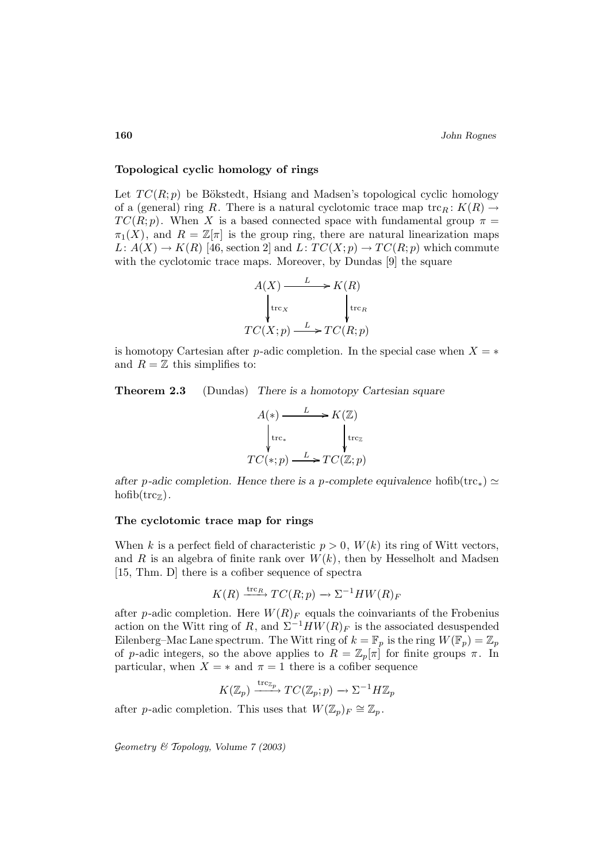### **Topological cyclic homology of rings**

Let  $TC(R; p)$  be Bökstedt, Hsiang and Madsen's topological cyclic homology of a (general) ring R. There is a natural cyclotomic trace map  $\operatorname{trc}_R : K(R) \to$  $TC(R; p)$ . When X is a based connected space with fundamental group  $\pi =$  $\pi_1(X)$ , and  $R = \mathbb{Z}[\pi]$  is the group ring, there are natural linearization maps  $L: A(X) \to K(R)$  [46, section 2] and  $L: TC(X; p) \to TC(R; p)$  which commute with the cyclotomic trace maps. Moreover, by Dundas [9] the square

$$
A(X) \xrightarrow{L} K(R)
$$
  
\n
$$
\downarrow \text{trc}_X
$$
  
\n
$$
TC(X; p) \xrightarrow{L} TC(R; p)
$$

is homotopy Cartesian after p-adic completion. In the special case when  $X = *$ and  $R = \mathbb{Z}$  this simplifies to:

**Theorem 2.3** (Dundas) *There is a homotopy Cartesian square*

$$
A(*) \xrightarrow{L} K(\mathbb{Z})
$$
  
\n
$$
\downarrow \text{trc}_{*} \qquad \qquad \downarrow \text{trc}_{\mathbb{Z}}
$$
  
\n
$$
TC(*; p) \xrightarrow{L} TC(\mathbb{Z}; p)
$$

*after* p-adic completion. Hence there is a p-complete equivalence hofib(trc<sub>\*</sub>)  $\simeq$  $hofib(trc_{\mathbb{Z}})$ .

### **The cyclotomic trace map for rings**

When k is a perfect field of characteristic  $p > 0$ ,  $W(k)$  its ring of Witt vectors, and R is an algebra of finite rank over  $W(k)$ , then by Hesselholt and Madsen [15, Thm. D] there is a cofiber sequence of spectra

$$
K(R) \xrightarrow{\text{trc}_R} TC(R; p) \to \Sigma^{-1}HW(R)_F
$$

after p-adic completion. Here  $W(R)<sub>F</sub>$  equals the coinvariants of the Frobenius action on the Witt ring of R, and  $\Sigma^{-1}HW(R)_F$  is the associated desuspended Eilenberg–Mac Lane spectrum. The Witt ring of  $k = \mathbb{F}_p$  is the ring  $W(\mathbb{F}_p) = \mathbb{Z}_p$ of p-adic integers, so the above applies to  $R = \mathbb{Z}_p[\pi]$  for finite groups  $\pi$ . In particular, when  $X = *$  and  $\pi = 1$  there is a cofiber sequence

$$
K(\mathbb{Z}_p) \xrightarrow{\text{trc}_{\mathbb{Z}_p}} TC(\mathbb{Z}_p; p) \longrightarrow \Sigma^{-1} H \mathbb{Z}_p
$$

after p-adic completion. This uses that  $W(\mathbb{Z}_p)F \cong \mathbb{Z}_p$ .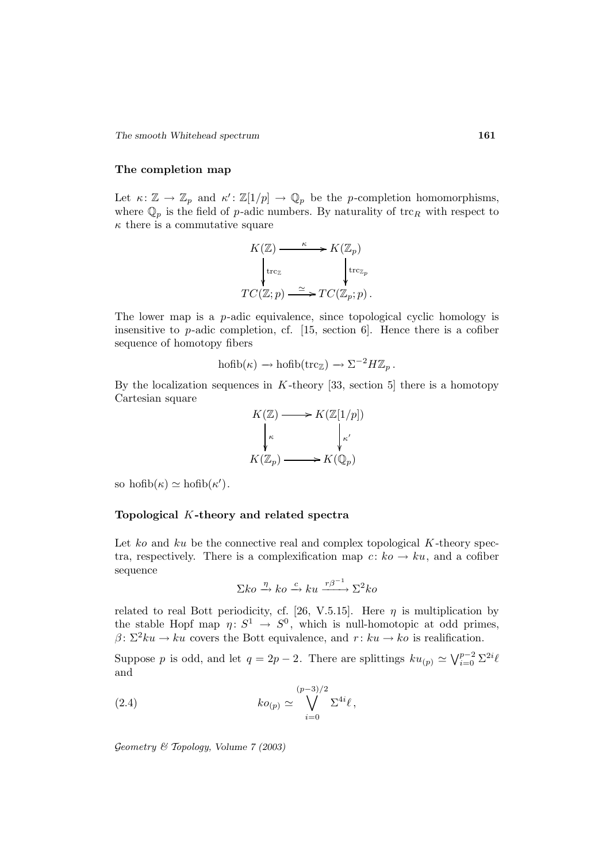*The smooth Whitehead spectrum* **161**

### **The completion map**

Let  $\kappa: \mathbb{Z} \to \mathbb{Z}_p$  and  $\kappa': \mathbb{Z}[1/p] \to \mathbb{Q}_p$  be the p-completion homomorphisms, where  $\mathbb{Q}_p$  is the field of p-adic numbers. By naturality of trc<sub>R</sub> with respect to  $\kappa$  there is a commutative square

$$
K(\mathbb{Z}) \xrightarrow{\kappa} K(\mathbb{Z}_p)
$$
  
\n
$$
\downarrow \text{trc}_{\mathbb{Z}}
$$
  
\n
$$
TC(\mathbb{Z}; p) \xrightarrow{\simeq} TC(\mathbb{Z}_p; p).
$$

The lower map is a  $p$ -adic equivalence, since topological cyclic homology is insensitive to  $p$ -adic completion, cf. [15, section 6]. Hence there is a cofiber sequence of homotopy fibers

$$
\operatorname{hofib}(\kappa) \to \operatorname{hofib}(\operatorname{trc}_{\mathbb{Z}}) \to \Sigma^{-2}H\mathbb{Z}_p.
$$

By the localization sequences in  $K$ -theory [33, section 5] there is a homotopy Cartesian square

$$
K(\mathbb{Z}) \longrightarrow K(\mathbb{Z}[1/p])
$$
  
\n
$$
\downarrow_{\kappa} \qquad \qquad \downarrow_{\kappa'} \qquad \qquad K(\mathbb{Z}_p) \longrightarrow K(\mathbb{Q}_p)
$$

so  $\text{hofib}(\kappa) \simeq \text{hofib}(\kappa').$ 

## **Topological** K**-theory and related spectra**

Let ko and ku be the connective real and complex topological  $K$ -theory spectra, respectively. There is a complexification map  $c: ko \to ku$ , and a cofiber sequence

$$
\Sigma ko \xrightarrow{\eta} ko \xrightarrow{c} ku \xrightarrow{r\beta^{-1}} \Sigma^2 ko
$$

related to real Bott periodicity, cf. [26, V.5.15]. Here  $\eta$  is multiplication by the stable Hopf map  $\eta: S^1 \to S^0$ , which is null-homotopic at odd primes,  $\beta \colon \Sigma^2 ku \to ku$  covers the Bott equivalence, and  $r : ku \to ko$  is realification.

Suppose p is odd, and let  $q = 2p - 2$ . There are splittings  $ku_{(p)} \simeq \bigvee_{i=0}^{p-2} \Sigma^{2i}\ell$ and

(2.4) 
$$
ko_{(p)} \simeq \bigvee_{i=0}^{(p-3)/2} \Sigma^{4i}\ell,
$$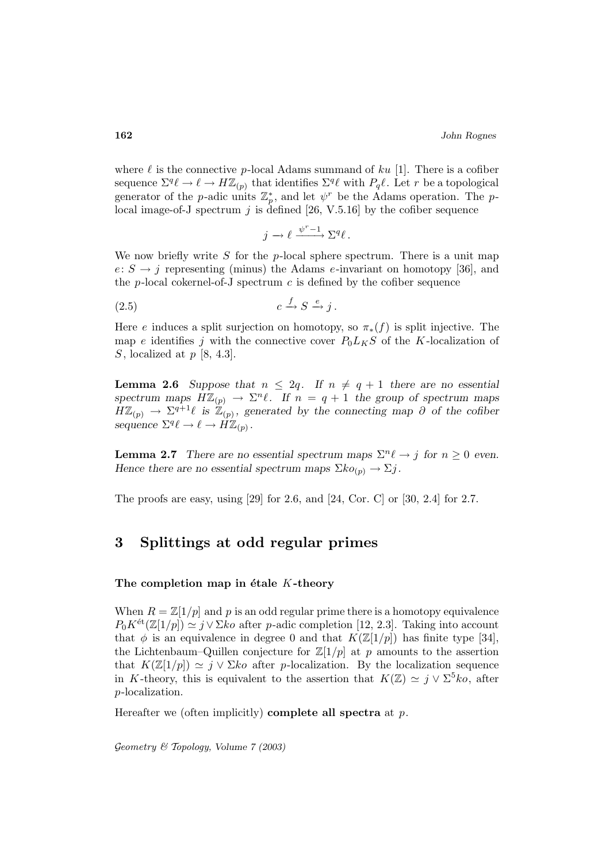where  $\ell$  is the connective p-local Adams summand of ku [1]. There is a cofiber sequence  $\Sigma^q \ell \to \ell \to H\mathbb{Z}_{(p)}$  that identifies  $\Sigma^q \ell$  with  $P_q\ell$ . Let r be a topological generator of the *p*-adic units  $\mathbb{Z}_p^*$ , and let  $\psi^r$  be the Adams operation. The *p*local image-of-J spectrum  $j$  is defined [26, V.5.16] by the cofiber sequence

$$
j \longrightarrow \ell \xrightarrow{\psi^r-1} \Sigma^q \ell \, .
$$

We now briefly write  $S$  for the p-local sphere spectrum. There is a unit map  $e: S \rightarrow j$  representing (minus) the Adams e-invariant on homotopy [36], and the  $p$ -local cokernel-of-J spectrum  $c$  is defined by the cofiber sequence

$$
(2.5) \t\t c \xrightarrow{f} S \xrightarrow{e} j.
$$

Here e induces a split surjection on homotopy, so  $\pi_*(f)$  is split injective. The map e identifies j with the connective cover  $P_0L_KS$  of the K-localization of S, localized at  $p$  [8, 4.3].

**Lemma 2.6** *Suppose that*  $n \leq 2q$ *. If*  $n \neq q+1$  *there are no essential spectrum maps*  $H\mathbb{Z}_{(p)} \to \Sigma^{n}\ell$ . If  $n = q + 1$  the group of spectrum maps  $H\mathbb{Z}_{(p)} \to \Sigma^{q+1}\ell$  is  $\mathbb{Z}_{(p)}$ , generated by the connecting map  $\partial$  of the cofiber *sequence*  $\Sigma^q \ell \to \ell \to \widetilde{H}\mathbb{Z}_{(p)}$ .

**Lemma 2.7** *There are no essential spectrum maps*  $\Sigma^n \ell \to j$  *for*  $n \geq 0$  *even. Hence there are no essential spectrum maps*  $\Sigma ko_{(p)} \to \Sigma j$ .

The proofs are easy, using [29] for 2.6, and [24, Cor. C] or [30, 2.4] for 2.7.

# **3 Splittings at odd regular primes**

### The completion map in étale K-theory

When  $R = \mathbb{Z}[1/p]$  and p is an odd regular prime there is a homotopy equivalence  $P_0 K^{\text{\'et}}(\mathbb{Z}[1/p]) \simeq j \vee \Sigma k \circ \text{after } p \text{-adic completion } [12, 2.3].$  Taking into account that  $\phi$  is an equivalence in degree 0 and that  $K(\mathbb{Z}[1/p])$  has finite type [34], the Lichtenbaum–Quillen conjecture for  $\mathbb{Z}[1/p]$  at p amounts to the assertion that  $K(\mathbb{Z}[1/p]) \simeq j \vee \Sigma k_0$  after p-localization. By the localization sequence in K-theory, this is equivalent to the assertion that  $K(\mathbb{Z}) \simeq j \vee \Sigma^5 k_0$ , after p-localization.

Hereafter we (often implicitly) **complete all spectra** at p.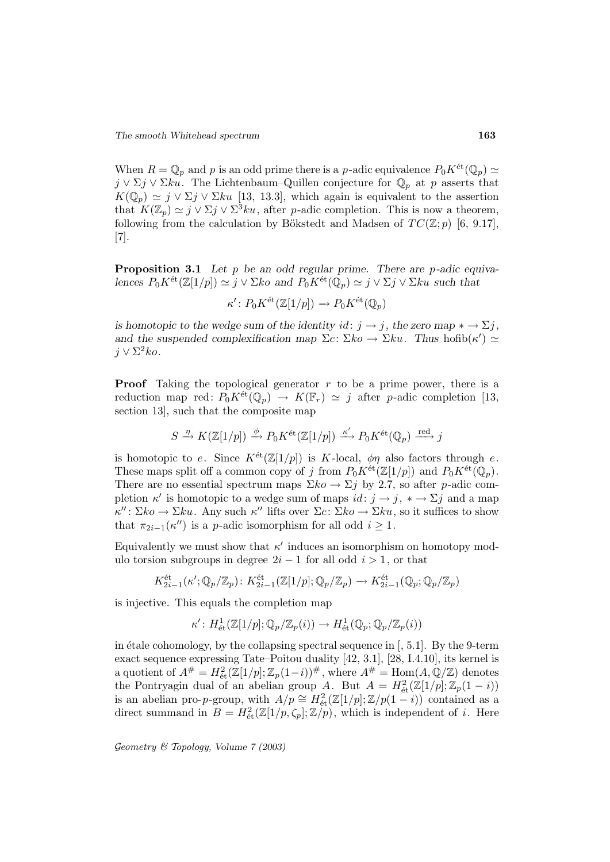When  $R = \mathbb{Q}_p$  and p is an odd prime there is a p-adic equivalence  $P_0 K^{\text{\'et}}(\mathbb{Q}_p) \simeq$  $j \vee \Sigma j \vee \Sigma k u$ . The Lichtenbaum–Quillen conjecture for  $\mathbb{Q}_p$  at p asserts that  $K(\mathbb{Q}_p) \simeq j \vee \Sigma j \vee \Sigma ku$  [13, 13.3], which again is equivalent to the assertion that  $K(\mathbb{Z}_p) \simeq j \vee \Sigma j \vee \Sigma^3 ku$ , after p-adic completion. This is now a theorem, following from the calculation by Bökstedt and Madsen of  $TC(\mathbb{Z}; p)$  [6, 9.17], [7].

**Proposition 3.1** *Let* p *be an odd regular prime. There are* p*-adic equivalences*  $P_0 K^{\text{\'et}}(\mathbb{Z}[1/p]) \simeq j \vee \Sigma k \circ \text{ and } P_0 K^{\text{\'et}}(\mathbb{Q}_p) \simeq j \vee \Sigma j \vee \Sigma k \circ \text{ such that}$ 

$$
\kappa' \colon P_0 K^{\text{\'et}}(\mathbb{Z}[1/p]) \to P_0 K^{\text{\'et}}(\mathbb{Q}_p)
$$

*is homotopic to the wedge sum of the identity*  $id: j \rightarrow j$ , the zero map  $* \rightarrow \Sigma j$ , *and the suspended complexification map*  $\Sigma c: \Sigma k \circ \to \Sigma k u$ . Thus hofib $(\kappa') \simeq$  $j \vee \Sigma^2 ko.$ 

**Proof** Taking the topological generator r to be a prime power, there is a reduction map red:  $P_0 K^{\text{\'et}}(\mathbb{Q}_p) \to K(\mathbb{F}_r) \simeq j$  after p-adic completion [13, section 13], such that the composite map

$$
S \xrightarrow{\eta} K(\mathbb{Z}[1/p]) \xrightarrow{\phi} P_0 K^{\text{\'et}}(\mathbb{Z}[1/p]) \xrightarrow{\kappa'} P_0 K^{\text{\'et}}(\mathbb{Q}_p) \xrightarrow{\text{red}} j
$$

is homotopic to e. Since  $K^{\text{\'et}}(\mathbb{Z}[1/p])$  is K-local,  $\phi\eta$  also factors through e. These maps split off a common copy of j from  $P_0K^{\text{\'et}}(\mathbb{Z}[1/p])$  and  $P_0K^{\text{\'et}}(\mathbb{Q}_p)$ . There are no essential spectrum maps  $\Sigma ko \to \Sigma j$  by 2.7, so after p-adic completion  $\kappa'$  is homotopic to a wedge sum of maps  $id: j \to j$ ,  $* \to \Sigma j$  and a map  $\kappa'' : \Sigma ko \to \Sigma ku$ . Any such  $\kappa''$  lifts over  $\Sigma c : \Sigma ko \to \Sigma ku$ , so it suffices to show that  $\pi_{2i-1}(\kappa'')$  is a p-adic isomorphism for all odd  $i \geq 1$ .

Equivalently we must show that  $\kappa'$  induces an isomorphism on homotopy modulo torsion subgroups in degree  $2i - 1$  for all odd  $i > 1$ , or that

$$
K_{2i-1}^{\text{\'et}}(\kappa'; \mathbb{Q}_p/\mathbb{Z}_p) \colon K_{2i-1}^{\text{\'et}}(\mathbb{Z}[1/p]; \mathbb{Q}_p/\mathbb{Z}_p) \to K_{2i-1}^{\text{\'et}}(\mathbb{Q}_p; \mathbb{Q}_p/\mathbb{Z}_p)
$$

is injective. This equals the completion map

$$
\kappa': H^1_{\text{\'et}}(\mathbb{Z}[1/p];\mathbb{Q}_p/\mathbb{Z}_p(i)) \to H^1_{\text{\'et}}(\mathbb{Q}_p;\mathbb{Q}_p/\mathbb{Z}_p(i))
$$

in étale cohomology, by the collapsing spectral sequence in  $[$ , 5.1 $]$ . By the 9-term exact sequence expressing Tate–Poitou duality [42, 3.1], [28, I.4.10], its kernel is a quotient of  $A^{\#} = H^2_{\text{\'et}}(\mathbb{Z}[1/p]; \mathbb{Z}_p(1-i))^{\#}$ , where  $A^{\#} = \text{Hom}(A, \mathbb{Q}/\mathbb{Z})$  denotes the Pontryagin dual of an abelian group A. But  $A = H_{\text{\'et}}^2(\mathbb{Z}[1/p]; \mathbb{Z}_p(1-i))$ is an abelian pro-p-group, with  $A/p \cong H^2_{\text{\'et}}(\mathbb{Z}[1/p]; \mathbb{Z}/p(1-i))$  contained as a direct summand in  $B = H^2_{\text{\'et}}(\mathbb{Z}[1/p, \zeta_p]; \mathbb{Z}/p)$ , which is independent of *i*. Here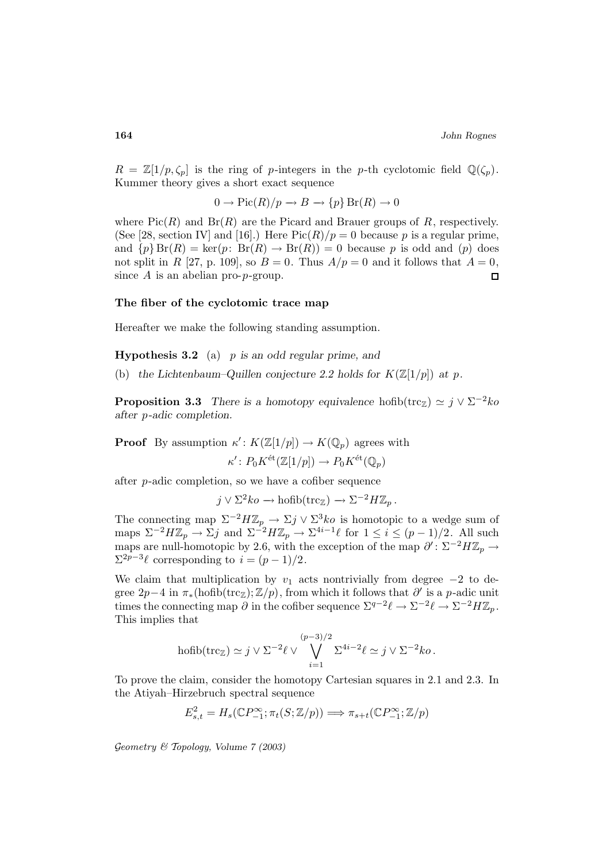$R = \mathbb{Z}[1/p, \zeta_p]$  is the ring of p-integers in the p-th cyclotomic field  $\mathbb{Q}(\zeta_p)$ . Kummer theory gives a short exact sequence

$$
0 \to Pic(R)/p \to B \to \{p\} Br(R) \to 0
$$

where  $Pic(R)$  and  $Br(R)$  are the Picard and Brauer groups of R, respectively. (See [28, section IV] and [16].) Here  $Pic(R)/p = 0$  because p is a regular prime, and  $\{p\}$  Br(R) = ker(p: Br(R)  $\rightarrow$  Br(R)) = 0 because p is odd and (p) does not split in R [27, p. 109], so  $B = 0$ . Thus  $A/p = 0$  and it follows that  $A = 0$ , since  $A$  is an abelian pro-p-group.  $\Box$ 

## **The fiber of the cyclotomic trace map**

Hereafter we make the following standing assumption.

**Hypothesis 3.2** (a) p *is an odd regular prime, and*

(b) the Lichtenbaum–Quillen conjecture 2.2 holds for  $K(\mathbb{Z}[1/p])$  at p.

**Proposition 3.3** *There is a homotopy equivalence* hofib(trc<sub>Z</sub>)  $\simeq j \vee \Sigma^{-2} k_0$ *after* p*-adic completion.*

**Proof** By assumption  $\kappa' : K(\mathbb{Z}[1/p]) \to K(\mathbb{Q}_p)$  agrees with

$$
\kappa' \colon P_0 K^{\text{\'et}}(\mathbb{Z}[1/p]) \to P_0 K^{\text{\'et}}(\mathbb{Q}_p)
$$

after p-adic completion, so we have a cofiber sequence

$$
j \vee \Sigma^2 ko \to \text{hofib}(\text{trc}_{\mathbb{Z}}) \to \Sigma^{-2}H\mathbb{Z}_p.
$$

The connecting map  $\Sigma^{-2}H\mathbb{Z}_p \to \Sigma j \vee \Sigma^3 ko$  is homotopic to a wedge sum of maps  $\Sigma^{-2}H\mathbb{Z}_p \to \Sigma j$  and  $\Sigma^{-2}H\mathbb{Z}_p \to \Sigma^{4i-1}\ell$  for  $1 \leq i \leq (p-1)/2$ . All such maps are null-homotopic by 2.6, with the exception of the map  $\partial' : \Sigma^{-2} H \mathbb{Z}_p \to$  $\Sigma^{2p-3}\ell$  corresponding to  $i = (p-1)/2$ .

We claim that multiplication by  $v_1$  acts nontrivially from degree  $-2$  to degree  $2p-4$  in  $\pi_*(\text{hofib}(\text{trc}_\mathbb{Z}); \mathbb{Z}/p)$ , from which it follows that  $\partial'$  is a p-adic unit times the connecting map  $\partial$  in the cofiber sequence  $\Sigma^{q-2}\ell \to \Sigma^{-2}\ell \to \Sigma^{-2}H\mathbb{Z}_p$ . This implies that

$$
\text{hofib}(\text{trc}_{\mathbb{Z}}) \simeq j \vee \Sigma^{-2} \ell \vee \bigvee_{i=1}^{(p-3)/2} \Sigma^{4i-2} \ell \simeq j \vee \Sigma^{-2} k o.
$$

To prove the claim, consider the homotopy Cartesian squares in 2.1 and 2.3. In the Atiyah–Hirzebruch spectral sequence

$$
E_{s,t}^2 = H_s(\mathbb{C}P_{-1}^{\infty}; \pi_t(S; \mathbb{Z}/p)) \Longrightarrow \pi_{s+t}(\mathbb{C}P_{-1}^{\infty}; \mathbb{Z}/p)
$$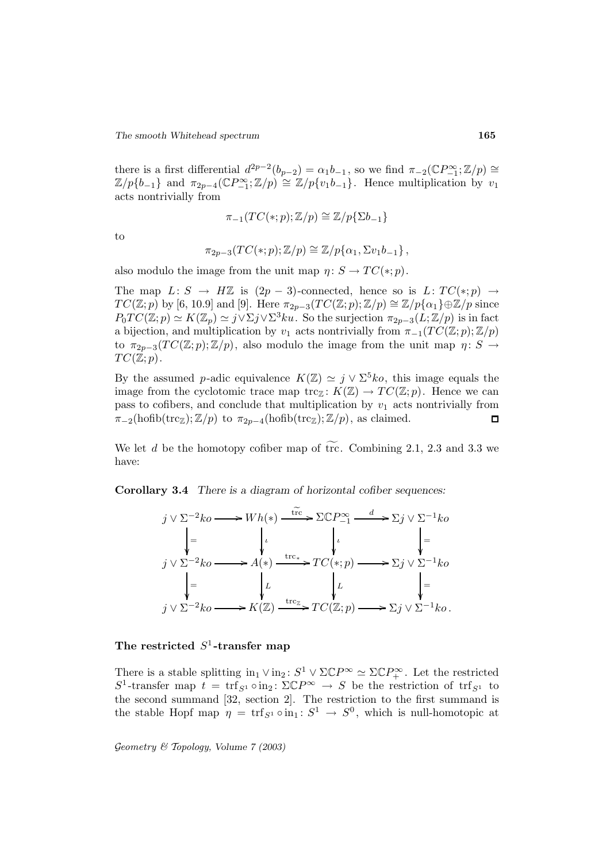there is a first differential  $d^{2p-2}(b_{p-2}) = \alpha_1 b_{-1}$ , so we find  $\pi_{-2}(\mathbb{C}P_{-1}^{\infty}; \mathbb{Z}/p) \cong$  $\mathbb{Z}/p\{b_{-1}\}\$  and  $\pi_{2p-4}(\mathbb{C}P_{-1}^{\infty};\mathbb{Z}/p) \cong \mathbb{Z}/p\{v_1b_{-1}\}\$ . Hence multiplication by  $v_1$ acts nontrivially from

$$
\pi_{-1}(TC(*;p);\mathbb{Z}/p)\cong\mathbb{Z}/p\{\Sigma b_{-1}\}
$$

to

$$
\pi_{2p-3}(TC(*;p);\mathbb{Z}/p)\cong\mathbb{Z}/p\{\alpha_1,\Sigma v_1b_{-1}\}\,
$$

also modulo the image from the unit map  $\eta: S \to TC(*;p)$ .

The map  $L: S \to H\mathbb{Z}$  is  $(2p-3)$ -connected, hence so is  $L: TC(*;p) \to$  $TC(\mathbb{Z}; p)$  by [6, 10.9] and [9]. Here  $\pi_{2p-3}(TC(\mathbb{Z}; p);\mathbb{Z}/p) \cong \mathbb{Z}/p\{\alpha_1\} \oplus \mathbb{Z}/p$  since  $P_0TC(\mathbb{Z};p) \simeq K(\mathbb{Z}_p) \simeq j \vee \Sigma j \vee \Sigma^3ku$ . So the surjection  $\pi_{2p-3}(L;\mathbb{Z}/p)$  is in fact a bijection, and multiplication by  $v_1$  acts nontrivially from  $\pi_{-1}(TC(\mathbb{Z}; p); \mathbb{Z}/p)$ to  $\pi_{2p-3}(TC(\mathbb{Z}; p);\mathbb{Z}/p)$ , also modulo the image from the unit map  $\eta: S \to$  $TC(\mathbb{Z};p).$ 

By the assumed p-adic equivalence  $K(\mathbb{Z}) \simeq j \vee \Sigma^5 k \circ j$ , this image equals the image from the cyclotomic trace map trc<sub>Z</sub>:  $K(\mathbb{Z}) \to TC(\mathbb{Z}; p)$ . Hence we can pass to cofibers, and conclude that multiplication by  $v_1$  acts nontrivially from  $\pi_{-2}(\text{hofib}(\text{trc}_{\mathbb{Z}});\mathbb{Z}/p)$  to  $\pi_{2p-4}(\text{hofib}(\text{trc}_{\mathbb{Z}});\mathbb{Z}/p)$ , as claimed.  $\Box$ 

We let d be the homotopy cofiber map of  $\widetilde{tr}$ . Combining 2.1, 2.3 and 3.3 we have:

**Corollary 3.4** *There is a diagram of horizontal cofiber sequences:*



# The restricted  $S^1$ -transfer map

There is a stable splitting  $\text{in}_1 \vee \text{in}_2$ :  $S^1 \vee \Sigma \mathbb{C}P^{\infty} \simeq \Sigma \mathbb{C}P^{\infty}_+$ . Let the restricted  $S^1$ -transfer map  $t = \text{tr} f_{S^1} \circ \text{in}_2$ :  $\Sigma \mathbb{C} P^{\infty} \to S$  be the restriction of  $\text{tr} f_{S^1}$  to the second summand [32, section 2]. The restriction to the first summand is the stable Hopf map  $\eta = \text{tr} f_{S^1} \circ \text{in}_1 : S^1 \to S^0$ , which is null-homotopic at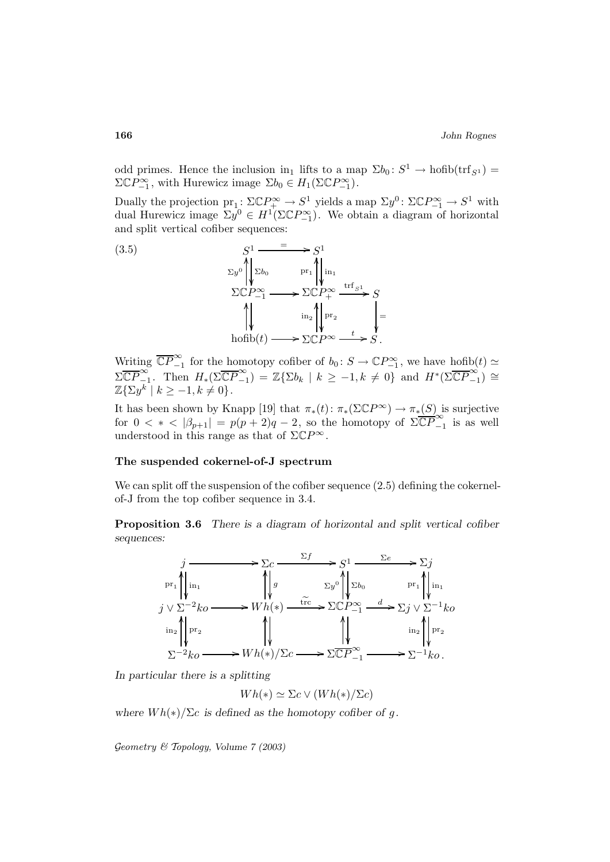odd primes. Hence the inclusion in<sub>1</sub> lifts to a map  $\Sigma b_0 : S^1 \to \text{hofib}(\text{trf}_{S^1}) =$  $\Sigma \mathbb{C} P^{\infty}_{-1}$ , with Hurewicz image  $\Sigma b_0 \in H_1(\Sigma \mathbb{C} P^{\infty}_{-1})$ .

Dually the projection  $pr_1: \Sigma \mathbb{C} P^{\infty} \to S^1$  yields a map  $\Sigma y^0: \Sigma \mathbb{C} P^{\infty} \to S^1$  with dual Hurewicz image  $\Sigma y^0 \in H^1(\Sigma \mathbb{C} P_{-1}^{\infty})$ . We obtain a diagram of horizontal and split vertical cofiber sequences:



Writing  $\overline{\mathbb{CP}}_{-1}^{\infty}$  for the homotopy cofiber of  $b_0: S \to \mathbb{CP}_{-1}^{\infty}$ , we have  $\underline{\text{hofib}}(t) \simeq$  $\Sigma\overline{\mathbb{CP}}_{-1}^{\infty}$ . Then  $H_*(\Sigma\overline{\mathbb{CP}}_{-1}^{\infty}) = \mathbb{Z}\{\Sigma b_k \mid k \geq -1, k \neq 0\}$  and  $H^*(\Sigma\overline{\mathbb{CP}}_{-1}^{\infty}) \cong$  $\mathbb{Z}\{\Sigma y^k \mid k \geq -1, k \neq 0\}.$ 

It has been shown by Knapp [19] that  $\pi_*(t) : \pi_*(\Sigma \mathbb{C}P^{\infty}) \to \pi_*(S)$  is surjective for  $0 < * < |\beta_{p+1}| = p(p+2)q - 2$ , so the homotopy of  $\Sigma \overline{\mathbb{CP}}_{-1}^{\infty}$  is as well understood in this range as that of  $\Sigma \mathbb{C}P^{\infty}$ .

### **The suspended cokernel-of-J spectrum**

We can split off the suspension of the cofiber sequence  $(2.5)$  defining the cokernelof-J from the top cofiber sequence in 3.4.

**Proposition 3.6** *There is a diagram of horizontal and split vertical cofiber sequences:*



*In particular there is a splitting*

 $Wh(*) \simeq \Sigma c \vee (Wh(*)/\Sigma c)$ 

*where*  $Wh(*)/\Sigma c$  *is defined as the homotopy cofiber of g.*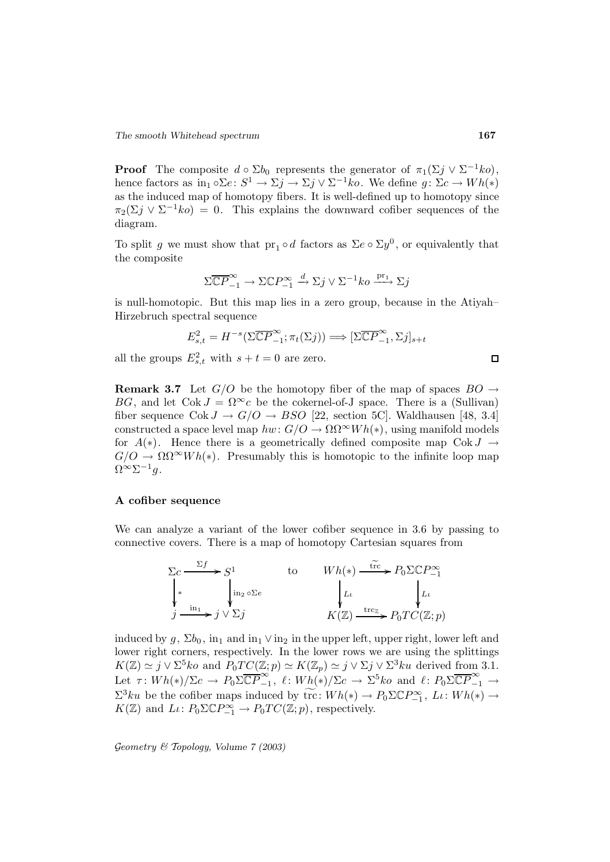**Proof** The composite  $d \circ \Sigma b_0$  represents the generator of  $\pi_1(\Sigma j \vee \Sigma^{-1} ko)$ , hence factors as  $\text{in}_1 \circ \Sigma e \colon S^1 \to \Sigma j \to \Sigma j \vee \Sigma^{-1} k_o$ . We define  $g \colon \Sigma c \to Wh(*)$ as the induced map of homotopy fibers. It is well-defined up to homotopy since  $\pi_2(\Sigma j \vee \Sigma^{-1} ko) = 0$ . This explains the downward cofiber sequences of the diagram.

To split g we must show that  $pr_1 \circ d$  factors as  $\Sigma e \circ \Sigma y^0$ , or equivalently that the composite

$$
\Sigma \overline{\mathbb{C}P}^{\infty}_{-1} \to \Sigma \mathbb{C}P^{\infty}_{-1} \xrightarrow{d} \Sigma j \vee \Sigma^{-1} ko \xrightarrow{\text{pr}_1} \Sigma j
$$

is null-homotopic. But this map lies in a zero group, because in the Atiyah– Hirzebruch spectral sequence

$$
E_{s,t}^2 = H^{-s}(\Sigma \overline{\mathbb{C}P}_{-1}^{\infty}; \pi_t(\Sigma j)) \Longrightarrow [\Sigma \overline{\mathbb{C}P}_{-1}^{\infty}, \Sigma j]_{s+t}
$$

all the groups  $E_{s,t}^2$  with  $s+t=0$  are zero.

**Remark 3.7** Let  $G/O$  be the homotopy fiber of the map of spaces  $BO \rightarrow$ BG, and let  $Cok J = \Omega^{\infty}c$  be the cokernel-of-J space. There is a (Sullivan) fiber sequence  $Cok J \rightarrow G/O \rightarrow BSO$  [22, section 5C]. Waldhausen [48, 3.4] constructed a space level map  $hw: G/O \to \Omega \Omega^{\infty} Wh(*)$ , using manifold models for  $A(*)$ . Hence there is a geometrically defined composite map Cok  $J \to$  $G/O \to \Omega \Omega^{\infty} Wh(*)$ . Presumably this is homotopic to the infinite loop map  $\Omega^{\infty} \Sigma^{-1} q.$ 

## **A cofiber sequence**

We can analyze a variant of the lower cofiber sequence in 3.6 by passing to connective covers. There is a map of homotopy Cartesian squares from



induced by  $g$ ,  $\Sigma b_0$ , in<sub>1</sub> and in<sub>1</sub>  $\vee$  in<sub>2</sub> in the upper left, upper right, lower left and lower right corners, respectively. In the lower rows we are using the splittings  $K(\mathbb{Z}) \simeq j \vee \Sigma^5 k \circ \text{and } P_0TC(\mathbb{Z};p) \simeq K(\mathbb{Z}_p) \simeq j \vee \Sigma j \vee \Sigma^3 k \circ \text{derived from } 3.1.$ Let  $\tau: Wh(*)/\Sigma c \to P_0 \Sigma \overline{\mathbb{C}P}^{\infty}_{-1}, \ell: Wh(*)/\Sigma c \to \Sigma^5 ko \text{ and } \ell: P_0 \Sigma \overline{\mathbb{C}P}^{\infty}_{-1} \to$  $\Sigma^3ku$  be the cofiber maps induced by  $\widetilde{\text{tr}}: Wh(*) \to P_0 \Sigma \mathbb{C} P_{-1}^{\infty}, L \colon Wh(*) \to$  $K(\mathbb{Z})$  and  $L\iota: P_0 \Sigma \mathbb{C} P_{-1}^{\infty} \to P_0 T C(\mathbb{Z}; p)$ , respectively.

$$
\Box
$$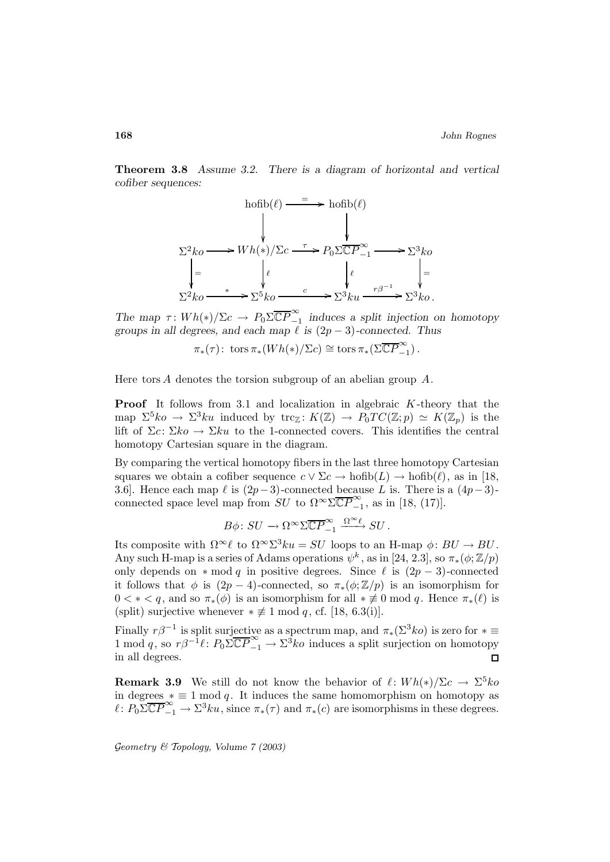**Theorem 3.8** *Assume 3.2. There is a diagram of horizontal and vertical cofiber sequences:*



The map  $\tau: Wh(*)/\Sigma c \to P_0 \Sigma \overline{\mathbb{CP}}_{-1}^{\infty}$  *induces a split injection on homotopy groups in all degrees, and each map*  $\ell$  *is* (2*p* − 3)*-connected. Thus* 

 $\pi_*(\tau)$ : tors  $\pi_*(Wh(*)/\Sigma c) \cong \operatorname{tors} \pi_*(\Sigma \overline{\mathbb{C}P}^{\infty}_{-1})$ .

Here tors A denotes the torsion subgroup of an abelian group  $A$ .

**Proof** It follows from 3.1 and localization in algebraic K-theory that the map  $\Sigma^5 k_0 \to \Sigma^3 k_1$  induced by trc<sub>Z</sub>:  $K(\mathbb{Z}) \to P_0TC(\mathbb{Z};p) \simeq K(\mathbb{Z}_p)$  is the lift of  $\Sigma c: \Sigma ko \to \Sigma ku$  to the 1-connected covers. This identifies the central homotopy Cartesian square in the diagram.

By comparing the vertical homotopy fibers in the last three homotopy Cartesian squares we obtain a cofiber sequence  $c \vee \Sigma c \rightarrow \text{hofib}(L) \rightarrow \text{hofib}(\ell)$ , as in [18, 3.6]. Hence each map  $\ell$  is  $(2p-3)$ -connected because L is. There is a  $(4p-3)$ connected space level map from  $SU$  to  $\Omega^{\infty} \Sigma \overline{\mathbb{C}P}^{\infty}_{-1}$ , as in [18, (17)].

$$
B\phi\colon SU\to \Omega^\infty \Sigma \overline{\mathbb{C}P}^\infty_{-1} \xrightarrow{\Omega^\infty \ell} SU\,.
$$

Its composite with  $\Omega^{\infty}\ell$  to  $\Omega^{\infty}\Sigma^3 ku = SU$  loops to an H-map  $\phi: BU \to BU$ . Any such H-map is a series of Adams operations  $\psi^k$ , as in [24, 2.3], so  $\pi_*(\phi;\mathbb{Z}/p)$ only depends on  $* \mod q$  in positive degrees. Since  $\ell$  is  $(2p - 3)$ -connected it follows that  $\phi$  is  $(2p-4)$ -connected, so  $\pi_*(\phi;\mathbb{Z}/p)$  is an isomorphism for  $0 < \varepsilon < q$ , and so  $\pi_*(\phi)$  is an isomorphism for all  $* \not\equiv 0 \mod q$ . Hence  $\pi_*(\ell)$  is (split) surjective whenever  $*\not\equiv 1 \mod q$ , cf. [18, 6.3(i)].

Finally  $r\beta^{-1}$  is split surjective as a spectrum map, and  $\pi_*(\Sigma^3 ko)$  is zero for  $*\equiv$  $1 \mod q$ , so  $r\beta^{-1}\ell : P_0\Sigma \overline{\mathbb{CP}}_{-1}^{\infty} \to \Sigma^3 ko$  induces a split surjection on homotopy in all degrees.

**Remark 3.9** We still do not know the behavior of  $\ell : Wh(*)/\Sigma c \to \Sigma^5 ko$ in degrees  $* \equiv 1 \mod q$ . It induces the same homomorphism on homotopy as  $\ell \colon P_0 \Sigma \overline{\mathbb{C}P}^{\infty}_{-1} \to \Sigma^3 ku$ , since  $\pi_*(\tau)$  and  $\pi_*(c)$  are isomorphisms in these degrees.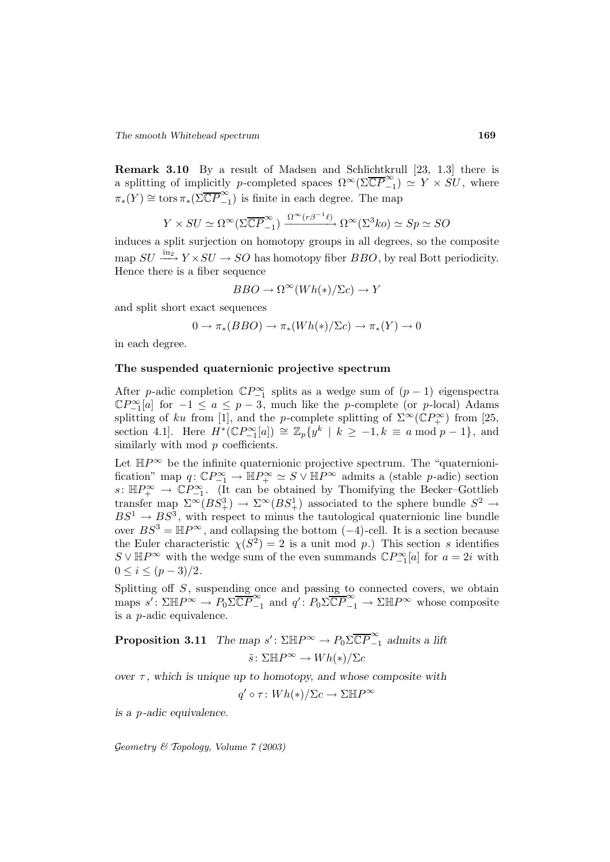**Remark 3.10** By a result of Madsen and Schlichtkrull [23, 1.3] there is a splitting of implicitly p-completed spaces  $\Omega^{\infty}(\Sigma \overline{\mathbb{C}P}^{\infty}_{-1}) \simeq Y \times SU$ , where  $\pi_*(Y) \cong \text{tors}\,\pi_*(\Sigma \overline{\mathbb{C}P}^{\infty}_{-1})$  is finite in each degree. The map

$$
Y \times SU \simeq \Omega^{\infty}(\Sigma \overline{\mathbb{C}P}^{\infty}_{-1}) \xrightarrow{\Omega^{\infty}(r\beta^{-1}\ell)} \Omega^{\infty}(\Sigma^{3} ko) \simeq Sp \simeq SO
$$

induces a split surjection on homotopy groups in all degrees, so the composite map  $SU \longrightarrow Y \times SU \rightarrow SO$  has homotopy fiber  $BBO$ , by real Bott periodicity. Hence there is a fiber sequence

$$
BBO \to \Omega^{\infty}(Wh(*)/\Sigma c) \to Y
$$

and split short exact sequences

$$
0 \to \pi_*(BBO) \to \pi_*(Wh(*)/\Sigma c) \to \pi_*(Y) \to 0
$$

in each degree.

#### **The suspended quaternionic projective spectrum**

After p-adic completion  $\mathbb{C}P_{-1}^{\infty}$  splits as a wedge sum of  $(p-1)$  eigenspectra  $\mathbb{C}P_{n=1}^{\infty}[a]$  for  $-1 \le a \le p-3$ , much like the p-complete (or p-local) Adams splitting of ku from [1], and the p-complete splitting of  $\Sigma^{\infty}(\mathbb{C}P_{+}^{\infty})$  from [25, section 4.1]. Here  $H^*(\mathbb{C}P_{n-1}^{\infty}[a]) \cong \mathbb{Z}_p\{y^k \mid k \geq -1, k \equiv a \mod p - 1\}$ , and similarly with mod  $p$  coefficients.

Let  $\mathbb{H}P^{\infty}$  be the infinite quaternionic projective spectrum. The "quaternionification" map  $q: \mathbb{C}P_{-1}^{\infty} \to \mathbb{H}P_{+}^{\infty} \simeq S \vee \mathbb{H}P^{\infty}$  admits a (stable p-adic) section  $s: \mathbb{H}P^{\infty}_{+} \to \mathbb{C}P^{\infty}_{-1}$ . (It can be obtained by Thomifying the Becker–Gottlieb transfer map  $\Sigma^{\infty}(BS^3_+) \to \Sigma^{\infty}(BS^1_+)$  associated to the sphere bundle  $S^2 \to$  $BS^1 \rightarrow BS^3$ , with respect to minus the tautological quaternionic line bundle over  $BS^3 = \mathbb{H}P^{\infty}$ , and collapsing the bottom  $(-4)$ -cell. It is a section because the Euler characteristic  $\chi(S^2) = 2$  is a unit mod p.) This section s identifies  $S \vee \mathbb{H}P^{\infty}$  with the wedge sum of the even summands  $\mathbb{C}P^{\infty}_{-1}[a]$  for  $a=2i$  with  $0 \leq i \leq (p-3)/2$ .

Splitting off  $S$ , suspending once and passing to connected covers, we obtain maps  $s' : \Sigma \mathbb{H}P^{\infty} \to P_0 \Sigma \overline{\mathbb{C}P}^{\infty}_{-1}$  and  $q' : P_0 \Sigma \overline{\mathbb{C}P}^{\infty}_{-1} \to \Sigma \mathbb{H}P^{\infty}$  whose composite is a p-adic equivalence.

**Proposition 3.11** *The map*  $s'$ :  $\Sigma \mathbb{H}P^{\infty} \to P_0 \Sigma \overline{\mathbb{C}P}^{\infty}_{-1}$  *admits a lift*  $\tilde{s}$ :  $\Sigma \mathbb{H} P^{\infty} \to Wh(*)/\Sigma c$ 

*over*  $\tau$ *, which is unique up to homotopy, and whose composite with* 

 $q' \circ \tau : Wh(*)/\Sigma c \to \Sigma \mathbb{H} P^{\infty}$ 

*is a* p*-adic equivalence.*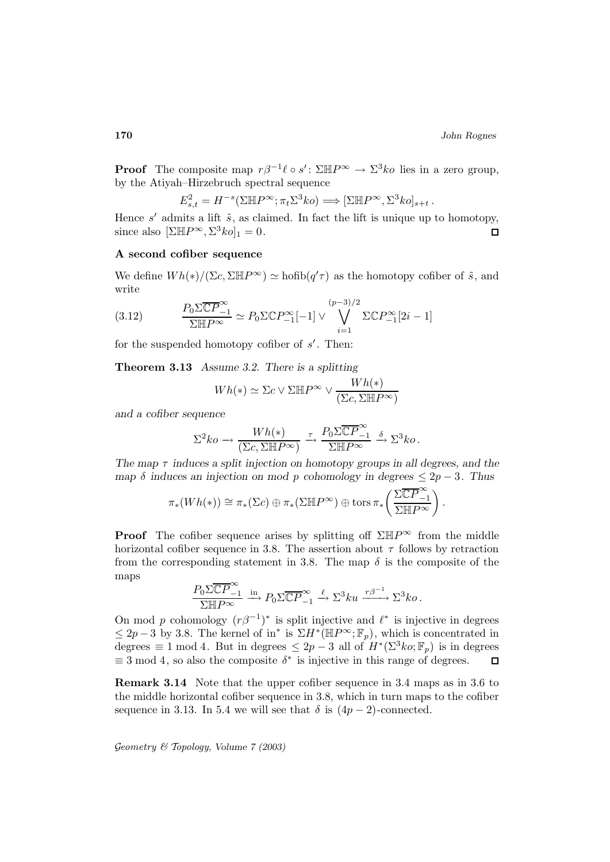**Proof** The composite map  $r\beta^{-1}\ell \circ s'$ :  $\Sigma \mathbb{H}P^{\infty} \to \Sigma^3k\delta$  lies in a zero group, by the Atiyah–Hirzebruch spectral sequence

$$
E_{s,t}^2 = H^{-s}(\Sigma \mathbb{H} P^{\infty}; \pi_t \Sigma^3 ko) \Longrightarrow [\Sigma \mathbb{H} P^{\infty}, \Sigma^3 ko]_{s+t}.
$$

Hence  $s'$  admits a lift  $\tilde{s}$ , as claimed. In fact the lift is unique up to homotopy, since also  $[\Sigma \mathbb{H} P^{\infty}, \Sigma^3 ko]_1 = 0.$  $\Box$ 

# **A second cofiber sequence**

We define  $Wh(*)/(\Sigma c, \Sigma \mathbb{H}P^{\infty}) \simeq \text{hofib}(q'\tau)$  as the homotopy cofiber of  $\tilde{s}$ , and write

(3.12) 
$$
\frac{P_0 \Sigma \overline{\mathbb{C}P}^{\infty}_{-1}}{\Sigma \mathbb{H}P^{\infty}} \simeq P_0 \Sigma \mathbb{C}P^{\infty}_{-1}[-1] \vee \bigvee_{i=1}^{(p-3)/2} \Sigma \mathbb{C}P^{\infty}_{-1}[2i-1]
$$

for the suspended homotopy cofiber of  $s'$ . Then:

**Theorem 3.13** *Assume 3.2. There is a splitting*

$$
Wh(*) \simeq \Sigma c \vee \Sigma \mathbb{H} P^{\infty} \vee \frac{Wh(*)}{(\Sigma c, \Sigma \mathbb{H} P^{\infty})}
$$

*and a cofiber sequence*

$$
\Sigma^2 ko \to \frac{Wh(*)}{(\Sigma c, \Sigma \mathbb{H}P^{\infty})} \xrightarrow{\tau} \frac{P_0 \Sigma \overline{\mathbb{C}P}^{\infty}_{-1}}{\Sigma \mathbb{H}P^{\infty}} \xrightarrow{\delta} \Sigma^3 ko.
$$

*The map* τ *induces a split injection on homotopy groups in all degrees, and the map*  $\delta$  *induces an injection on mod p cohomology in degrees*  $\leq 2p - 3$ *. Thus* 

$$
\pi_*(Wh(*)) \cong \pi_*(\Sigma c) \oplus \pi_*(\Sigma \mathbb{H} P^{\infty}) \oplus \operatorname{tors} \pi_*\left(\frac{\Sigma \overline{\mathbb{C} P}^{\infty}_{-1}}{\Sigma \mathbb{H} P^{\infty}}\right).
$$

**Proof** The cofiber sequence arises by splitting off  $\Sigma H P^{\infty}$  from the middle horizontal cofiber sequence in 3.8. The assertion about  $\tau$  follows by retraction from the corresponding statement in 3.8. The map  $\delta$  is the composite of the maps

$$
\frac{P_0 \Sigma \overline{\mathbb{C}P}^{\infty}_{-1}}{\Sigma \mathbb{H}P^{\infty}} \xrightarrow{\text{in}} P_0 \Sigma \overline{\mathbb{C}P}^{\infty}_{-1} \xrightarrow{\ell} \Sigma^3 ku \xrightarrow{r\beta^{-1}} \Sigma^3 ko.
$$

On mod p cohomology  $(r\beta^{-1})^*$  is split injective and  $\ell^*$  is injective in degrees  $\leq 2p-3$  by 3.8. The kernel of in<sup>\*</sup> is  $\Sigma H^*(\mathbb{H}P^{\infty};\mathbb{F}_p)$ , which is concentrated in degrees  $\equiv 1 \mod 4$ . But in degrees  $\leq 2p-3$  all of  $H^*(\Sigma^3 ko;\mathbb{F}_p)$  is in degrees  $\equiv$  3 mod 4, so also the composite  $\delta^*$  is injective in this range of degrees.  $\Box$ 

**Remark 3.14** Note that the upper cofiber sequence in 3.4 maps as in 3.6 to the middle horizontal cofiber sequence in 3.8, which in turn maps to the cofiber sequence in 3.13. In 5.4 we will see that  $\delta$  is  $(4p-2)$ -connected.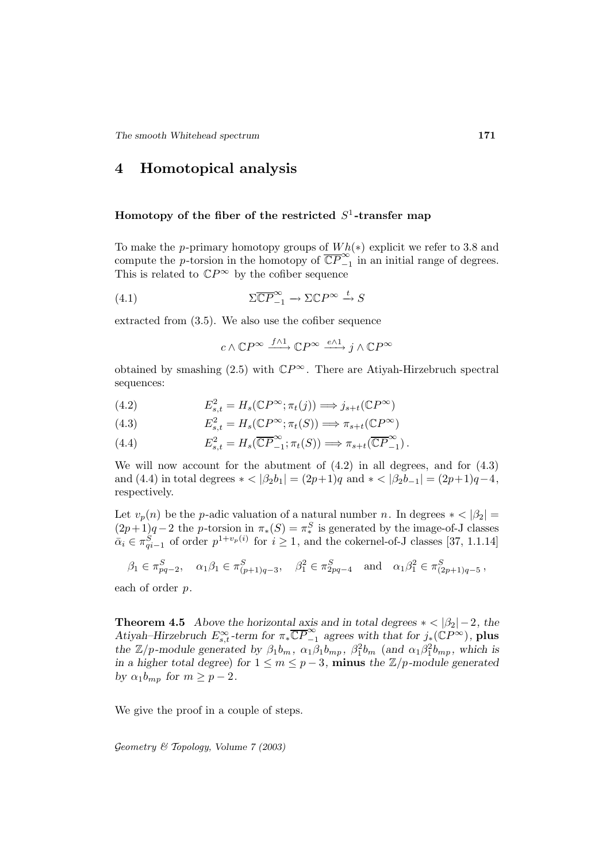# **4 Homotopical analysis**

## **Homotopy of the fiber of the restricted**  $S^1$ -transfer map

To make the p-primary homotopy groups of  $Wh(*)$  explicit we refer to 3.8 and compute the p-torsion in the homotopy of  $\overline{\mathbb{CP}}_{-1}^{\infty}$  in an initial range of degrees. This is related to  $\mathbb{C}P^{\infty}$  by the cofiber sequence

(4.1) 
$$
\Sigma \overline{\mathbb{C}P}^{\infty}_{-1} \to \Sigma \mathbb{C}P^{\infty} \xrightarrow{t} S
$$

extracted from (3.5). We also use the cofiber sequence

$$
c \wedge \mathbb{C} P^{\infty} \xrightarrow{f \wedge 1} \mathbb{C} P^{\infty} \xrightarrow{e \wedge 1} j \wedge \mathbb{C} P^{\infty}
$$

obtained by smashing (2.5) with  $\mathbb{C}P^{\infty}$ . There are Atiyah-Hirzebruch spectral sequences:

(4.2) 
$$
E_{s,t}^2 = H_s(\mathbb{C}P^\infty; \pi_t(j)) \Longrightarrow j_{s+t}(\mathbb{C}P^\infty)
$$

(4.3) 
$$
E_{s,t}^2 = H_s(\mathbb{C}P^\infty; \pi_t(S)) \Longrightarrow \pi_{s+t}(\mathbb{C}P^\infty)
$$

(4.4) 
$$
E_{s,t}^2 = H_s(\overline{\mathbb{C}P}^{\infty}_{-1}; \pi_t(S)) \Longrightarrow \pi_{s+t}(\overline{\mathbb{C}P}^{\infty}_{-1}).
$$

We will now account for the abutment of  $(4.2)$  in all degrees, and for  $(4.3)$ and (4.4) in total degrees  $* < |\beta_2 b_1| = (2p+1)q$  and  $* < |\beta_2 b_{-1}| = (2p+1)q-4$ , respectively.

Let  $v_p(n)$  be the p-adic valuation of a natural number n. In degrees  $\ast$  <  $|\beta_2|$  =  $(2p+1)q-2$  the p-torsion in  $\pi_*(S) = \pi_*^S$  is generated by the image-of-J classes  $\bar{\alpha}_i \in \pi_{qi-1}^S$  of order  $p^{1+v_p(i)}$  for  $i \ge 1$ , and the cokernel-of-J classes [37, 1.1.14]

$$
\beta_1 \in \pi_{pq-2}^S, \quad \alpha_1 \beta_1 \in \pi_{(p+1)q-3}^S, \quad \beta_1^2 \in \pi_{2pq-4}^S \quad \text{and} \quad \alpha_1 \beta_1^2 \in \pi_{(2p+1)q-5}^S,
$$

each of order p.

**Theorem 4.5** *Above the horizontal axis and in total degrees*  $* < |\beta_2| - 2$ *, the Atiyah–Hirzebruch*  $E_{s,t}^{\infty}$ -term for  $\pi_* \overline{\mathbb{CP}}_{-1}^{\infty}$  agrees with that for  $j_*(\mathbb{CP}^{\infty})$ , **plus** *the*  $\mathbb{Z}/p$ -module generated by  $\beta_1 b_m$ ,  $\alpha_1 \beta_1 b_{mp}$ ,  $\beta_1^2 b_m$  (and  $\alpha_1 \beta_1^2 b_{mp}$ , which is *in a higher total degree*) *for*  $1 \le m \le p-3$ *, minus the*  $\mathbb{Z}/p$ *-module generated by*  $\alpha_1 b_{mp}$  *for*  $m \geq p-2$ *.* 

We give the proof in a couple of steps.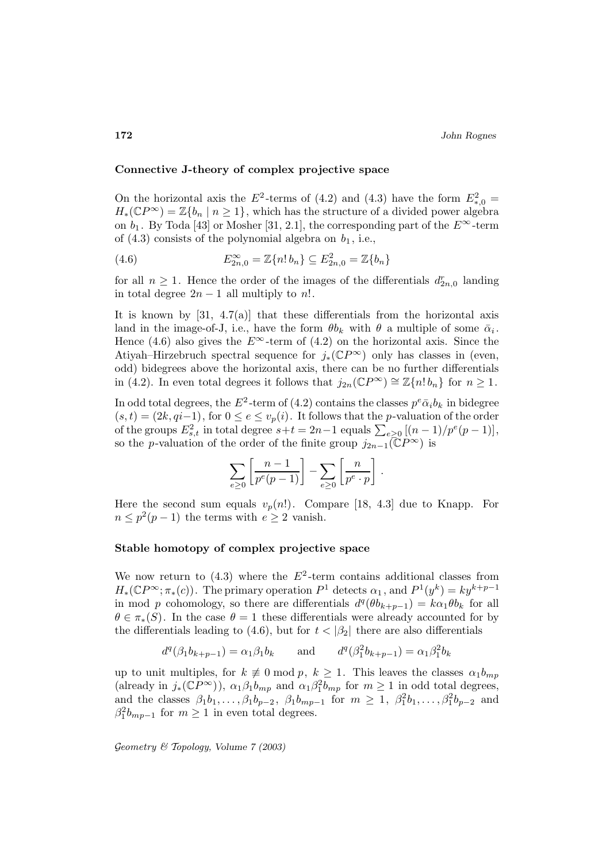## **Connective J-theory of complex projective space**

On the horizontal axis the  $E^2$ -terms of (4.2) and (4.3) have the form  $E^2_{*,0} =$  $H_*(\mathbb{C}P^\infty) = \mathbb{Z}\{b_n \mid n \geq 1\}$ , which has the structure of a divided power algebra on  $b_1$ . By Toda [43] or Mosher [31, 2.1], the corresponding part of the  $E^{\infty}$ -term of  $(4.3)$  consists of the polynomial algebra on  $b_1$ , i.e.,

(4.6) 
$$
E_{2n,0}^{\infty} = \mathbb{Z}\{n! b_n\} \subseteq E_{2n,0}^2 = \mathbb{Z}\{b_n\}
$$

for all  $n \geq 1$ . Hence the order of the images of the differentials  $d_{2n,0}^r$  landing in total degree  $2n - 1$  all multiply to n!.

It is known by [31, 4.7(a)] that these differentials from the horizontal axis land in the image-of-J, i.e., have the form  $\theta b_k$  with  $\theta$  a multiple of some  $\bar{\alpha}_i$ . Hence (4.6) also gives the  $E^{\infty}$ -term of (4.2) on the horizontal axis. Since the Atiyah–Hirzebruch spectral sequence for  $j_*(\mathbb{C}P^\infty)$  only has classes in (even, odd) bidegrees above the horizontal axis, there can be no further differentials in (4.2). In even total degrees it follows that  $j_{2n}(\mathbb{C}P^{\infty}) \cong \mathbb{Z}\{n! b_n\}$  for  $n \geq 1$ .

In odd total degrees, the  $E^2$ -term of (4.2) contains the classes  $p^e \bar{a}_i b_k$  in bidegree  $(s, t) = (2k, qi-1)$ , for  $0 \le e \le v_p(i)$ . It follows that the *p*-valuation of the order of the groups  $E_{s,t}^2$  in total degree  $s+t = 2n-1$  equals  $\sum_{e \geq 0} \left[ (n-1)/p^e(p-1) \right]$ , so the p-valuation of the order of the finite group  $j_{2n-1}(\mathbb{C}P^{\infty})$  is

$$
\sum_{e\geq 0}\left[\frac{n-1}{p^e(p-1)}\right]-\sum_{e\geq 0}\left[\frac{n}{p^e\cdot p}\right].
$$

Here the second sum equals  $v_p(n!)$ . Compare [18, 4.3] due to Knapp. For  $n \leq p^2(p-1)$  the terms with  $e \geq 2$  vanish.

### **Stable homotopy of complex projective space**

We now return to  $(4.3)$  where the  $E^2$ -term contains additional classes from  $H_*(\mathbb{C}P^\infty;\pi_*(c))$ . The primary operation  $P^1$  detects  $\alpha_1$ , and  $P^1(y^k) = k y^{k+p-1}$ in mod p cohomology, so there are differentials  $d^q(\theta b_{k+p-1}) = k \alpha_1 \theta b_k$  for all  $\theta \in \pi_*(S)$ . In the case  $\theta = 1$  these differentials were already accounted for by the differentials leading to (4.6), but for  $t < |\beta_2|$  there are also differentials

$$
d^q(\beta_1 b_{k+p-1}) = \alpha_1 \beta_1 b_k
$$
 and  $d^q(\beta_1^2 b_{k+p-1}) = \alpha_1 \beta_1^2 b_k$ 

up to unit multiples, for  $k \neq 0 \mod p$ ,  $k \geq 1$ . This leaves the classes  $\alpha_1 b_{mp}$ (already in  $j_*(\mathbb{C}P^{\infty})$ ),  $\alpha_1\beta_1b_{mp}$  and  $\alpha_1\beta_1^2b_{mp}$  for  $m\geq 1$  in odd total degrees, and the classes  $\beta_1 b_1, ..., \beta_1 b_{p-2}, \ \beta_1 b_{mp-1}$  for  $m \ge 1, \ \beta_1^2 b_1, ..., \beta_1^2 b_{p-2}$  and  $\beta_1^2 b_{mp-1}$  for  $m \ge 1$  in even total degrees.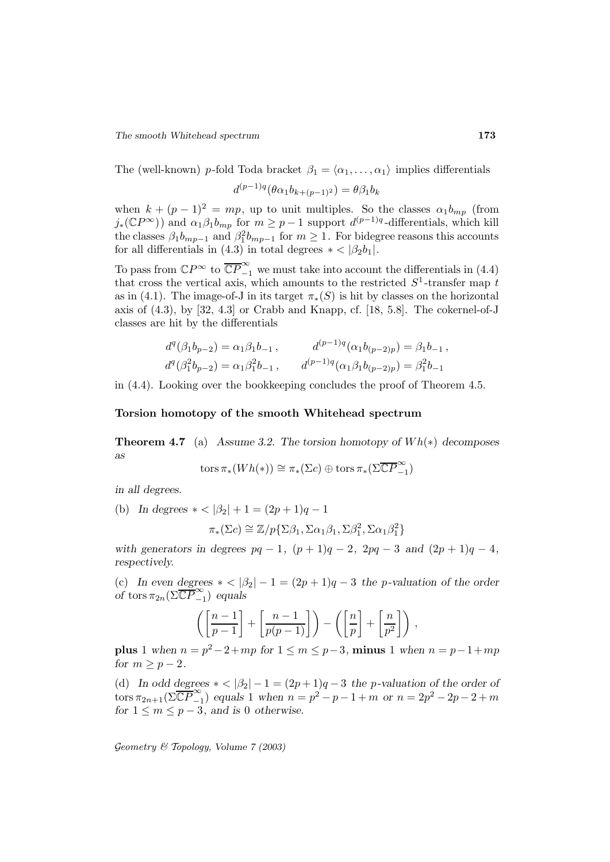The (well-known) p-fold Toda bracket  $\beta_1 = \langle \alpha_1, \ldots, \alpha_1 \rangle$  implies differentials

$$
d^{(p-1)q}(\theta \alpha_1 b_{k+(p-1)^2}) = \theta \beta_1 b_k
$$

when  $k + (p - 1)^2 = mp$ , up to unit multiples. So the classes  $\alpha_1 b_{mp}$  (from  $j_*(\mathbb{C}P^{\infty})$  and  $\alpha_1\beta_1b_{mp}$  for  $m \geq p-1$  support  $d^{(p-1)q}$ -differentials, which kill the classes  $\beta_1 b_{mp-1}$  and  $\beta_1^2 b_{mp-1}$  for  $m \ge 1$ . For bidegree reasons this accounts for all differentials in (4.3) in total degrees  $* < |\beta_2 b_1|$ .

To pass from  $\mathbb{C}P^{\infty}$  to  $\overline{\mathbb{C}P}^{\infty}_{-1}$  we must take into account the differentials in (4.4) that cross the vertical axis, which amounts to the restricted  $S^1$ -transfer map t as in (4.1). The image-of-J in its target  $\pi_*(S)$  is hit by classes on the horizontal axis of  $(4.3)$ , by  $[32, 4.3]$  or Crabb and Knapp, cf.  $[18, 5.8]$ . The cokernel-of-J classes are hit by the differentials

$$
d^q(\beta_1 b_{p-2}) = \alpha_1 \beta_1 b_{-1}, \qquad d^{(p-1)q}(\alpha_1 b_{(p-2)p}) = \beta_1 b_{-1},
$$
  

$$
d^q(\beta_1^2 b_{p-2}) = \alpha_1 \beta_1^2 b_{-1}, \qquad d^{(p-1)q}(\alpha_1 \beta_1 b_{(p-2)p}) = \beta_1^2 b_{-1}
$$

in (4.4). Looking over the bookkeeping concludes the proof of Theorem 4.5.

#### **Torsion homotopy of the smooth Whitehead spectrum**

**Theorem 4.7** (a) *Assume 3.2. The torsion homotopy of* W h(∗) *decomposes as*

tors 
$$
\pi_*(Wh(*)) \cong \pi_*(\Sigma c) \oplus \text{tors } \pi_*(\Sigma \overline{\mathbb{C}P}^{\infty}_{-1})
$$

*in all degrees.*

(b) *In degrees*  $* < |\beta_2| + 1 = (2p + 1)q - 1$ 

$$
\pi_*(\Sigma c) \cong \mathbb{Z}/p\{\Sigma \beta_1, \Sigma \alpha_1 \beta_1, \Sigma \beta_1^2, \Sigma \alpha_1 \beta_1^2\}
$$

*with generators in degrees*  $pq - 1$ ,  $(p + 1)q - 2$ ,  $2pq - 3$  *and*  $(2p + 1)q - 4$ , *respectively.*

(c) *In even degrees*  $* < |\beta_2| - 1 = (2p + 1)q - 3$  *the p-valuation of the order of* tors  $\pi_{2n}(\Sigma \overline{\mathbb{C}P}^{\infty}_{-1})$  *equals* 

$$
\left(\left[\frac{n-1}{p-1}\right] + \left[\frac{n-1}{p(p-1)}\right]\right) - \left(\left[\frac{n}{p}\right] + \left[\frac{n}{p^2}\right]\right),\,
$$

**plus** 1 *when*  $n = p^2 - 2 + mp$  *for*  $1 ≤ m ≤ p - 3$ *,* **minus** 1 *when*  $n = p - 1 + mp$ *for*  $m \geq p-2$ *.* 

(d) In odd degrees  $* < |\beta_2| - 1 = (2p + 1)q - 3$  the p-valuation of the order of  $t \text{ or } \pi_{2n+1}(\Sigma \overline{\mathbb{C}P}^{\infty}_{-1})$  *equals* 1 *when*  $n = p^2 - p - 1 + m$  *or*  $n = 2p^2 - 2p - 2 + m$ *for*  $1 \le m \le p-3$ *, and is* 0 *otherwise.*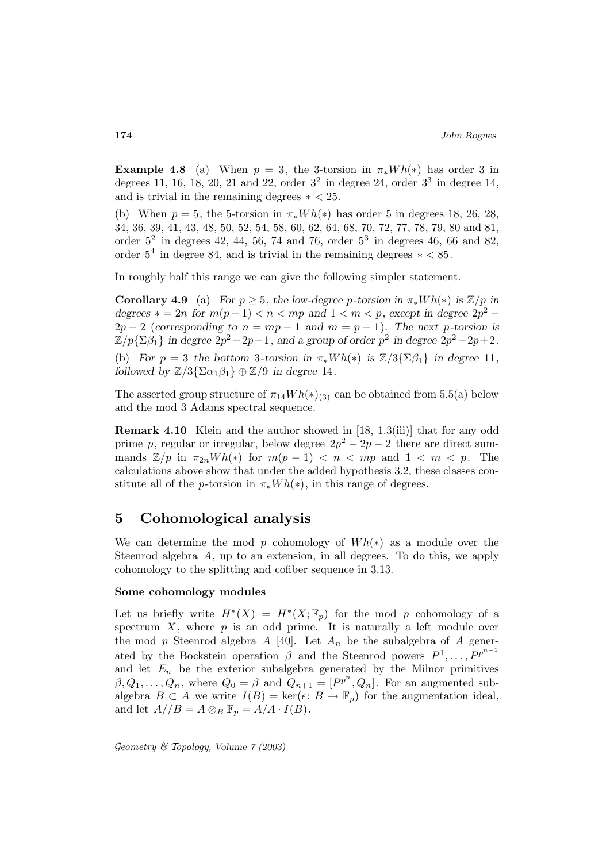**Example 4.8** (a) When  $p = 3$ , the 3-torsion in  $\pi_* Wh(*)$  has order 3 in degrees 11, 16, 18, 20, 21 and 22, order  $3^2$  in degree 24, order  $3^3$  in degree 14, and is trivial in the remaining degrees  $* < 25$ .

(b) When  $p = 5$ , the 5-torsion in  $\pi_* Wh(*)$  has order 5 in degrees 18, 26, 28, 34, 36, 39, 41, 43, 48, 50, 52, 54, 58, 60, 62, 64, 68, 70, 72, 77, 78, 79, 80 and 81, order  $5^2$  in degrees 42, 44, 56, 74 and 76, order  $5^3$  in degrees 46, 66 and 82, order  $5^4$  in degree 84, and is trivial in the remaining degrees  $\ast$  < 85.

In roughly half this range we can give the following simpler statement.

**Corollary 4.9** (a) *For*  $p \geq 5$ *, the low-degree p-torsion in*  $\pi_* Wh(*)$  *is*  $\mathbb{Z}/p$  *in degrees*  $* = 2n$  *for*  $m(p-1) < n < mp$  *and*  $1 < m < p$ *, except in degree*  $2p^2 2p-2$  (*corresponding to*  $n = mp - 1$  *and*  $m = p - 1$ *). The next p-torsion is*  $\mathbb{Z}/p\{\Sigma\beta_1\}$  *in degree*  $2p^2-2p-1$ *, and a group of order*  $p^2$  *in degree*  $2p^2-2p+2$ *.* (b) *For*  $p = 3$  *the bottom* 3*-torsion in*  $\pi_* Wh(*)$  *is*  $\mathbb{Z}/3\{\Sigma\beta_1\}$  *in degree* 11*, followed by*  $\mathbb{Z}/3\{\Sigma\alpha_1\beta_1\} \oplus \mathbb{Z}/9$  *in degree* 14.

The asserted group structure of  $\pi_{14}Wh(*)_{(3)}$  can be obtained from 5.5(a) below and the mod 3 Adams spectral sequence.

**Remark 4.10** Klein and the author showed in [18, 1.3(iii)] that for any odd prime p, regular or irregular, below degree  $2p^2 - 2p - 2$  there are direct summands  $\mathbb{Z}/p$  in  $\pi_{2n}Wh(*)$  for  $m(p-1) < n < mp$  and  $1 < m < p$ . The calculations above show that under the added hypothesis 3.2, these classes constitute all of the *p*-torsion in  $\pi_* Wh(*)$ , in this range of degrees.

# **5 Cohomological analysis**

We can determine the mod p cohomology of  $Wh(*)$  as a module over the Steenrod algebra A, up to an extension, in all degrees. To do this, we apply cohomology to the splitting and cofiber sequence in 3.13.

## **Some cohomology modules**

Let us briefly write  $H^*(X) = H^*(X; \mathbb{F}_p)$  for the mod p cohomology of a spectrum  $X$ , where  $p$  is an odd prime. It is naturally a left module over the mod p Steenrod algebra A [40]. Let  $A_n$  be the subalgebra of A generated by the Bockstein operation  $\beta$  and the Steenrod powers  $P^1, \ldots, P^{p^{n-1}}$ and let  $E_n$  be the exterior subalgebra generated by the Milnor primitives  $\beta, Q_1, \ldots, Q_n$ , where  $Q_0 = \beta$  and  $Q_{n+1} = [P^{p^n}, Q_n]$ . For an augmented subalgebra  $B \subset A$  we write  $I(B) = \ker(\epsilon : B \to \mathbb{F}_p)$  for the augmentation ideal, and let  $A//B = A \otimes_B \mathbb{F}_p = A/A \cdot I(B)$ .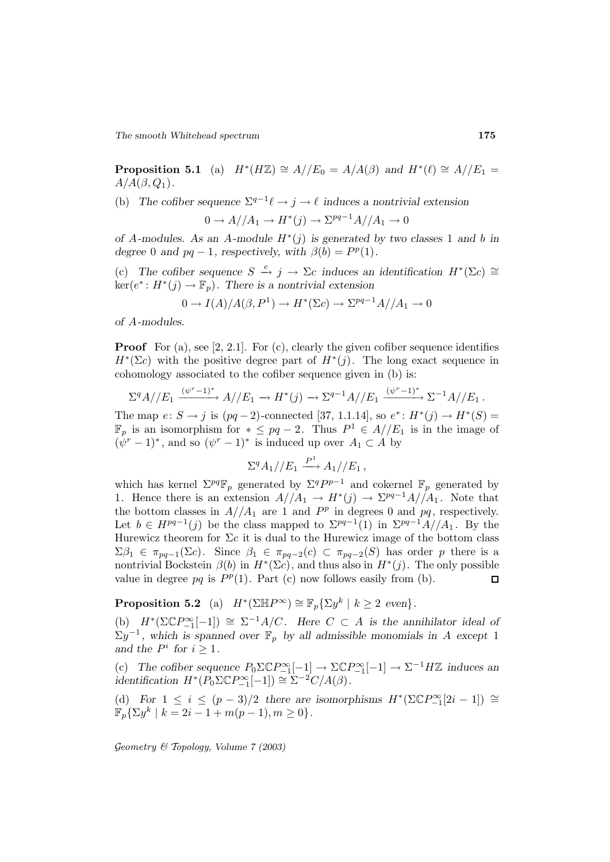*The smooth Whitehead spectrum* **175**

**Proposition 5.1** (a)  $H^*(H\mathbb{Z}) \cong A//E_0 = A/A(\beta)$  and  $H^*(\ell) \cong A//E_1 =$  $A/A(\beta,Q_1)$ .

(b) *The cofiber sequence*  $\Sigma^{q-1}\ell \to j \to \ell$  *induces a nontrivial extension* 

$$
0 \to A//A_1 \to H^*(j) \to \Sigma^{pq-1}A//A_1 \to 0
$$

*of* A-modules. As an A-module  $H^*(j)$  is generated by two classes 1 and b in *degree* 0 *and*  $pq - 1$ *, respectively, with*  $\beta(b) = P^p(1)$ *.* 

(c) The cofiber sequence  $S \stackrel{e}{\to} j \to \Sigma c$  induces an identification  $H^*(\Sigma c) \cong$  $\ker(e^*: H^*(j) \to \mathbb{F}_p)$ . There is a nontrivial extension

$$
0 \to I(A)/A(\beta, P^1) \to H^*(\Sigma c) \to \Sigma^{pq-1}A//A_1 \to 0
$$

*of* A*-modules.*

**Proof** For (a), see [2, 2.1]. For (c), clearly the given cofiber sequence identifies  $H^*(\Sigma c)$  with the positive degree part of  $H^*(j)$ . The long exact sequence in cohomology associated to the cofiber sequence given in (b) is:

$$
\Sigma^q A // E_1 \xrightarrow{(\psi^r - 1)^*} A // E_1 \to H^*(j) \to \Sigma^{q-1} A // E_1 \xrightarrow{(\psi^r - 1)^*} \Sigma^{-1} A // E_1.
$$

The map  $e: S \to j$  is  $(pq-2)$ -connected [37, 1.1.14], so  $e^*: H^*(j) \to H^*(S)$  =  $\mathbb{F}_p$  is an isomorphism for  $* \leq pq-2$ . Thus  $P^1 \in A//E_1$  is in the image of  $(\psi^r - 1)^*$ , and so  $(\psi^r - 1)^*$  is induced up over  $A_1 \subset A$  by

$$
\Sigma^q A_1 // E_1 \xrightarrow{P^1} A_1 // E_1 ,
$$

which has kernel  $\Sigma^{pq} \mathbb{F}_p$  generated by  $\Sigma^{q} P^{p-1}$  and cokernel  $\mathbb{F}_p$  generated by 1. Hence there is an extension  $A//A_1 \rightarrow H^*(j) \rightarrow \Sigma^{pq-1}A//A_1$ . Note that the bottom classes in  $A//A_1$  are 1 and  $P^p$  in degrees 0 and  $pq$ , respectively. Let  $b \in H^{pq-1}(j)$  be the class mapped to  $\Sigma^{pq-1}(1)$  in  $\Sigma^{pq-1}A//A_1$ . By the Hurewicz theorem for  $\Sigma c$  it is dual to the Hurewicz image of the bottom class  $\Sigma \beta_1 \in \pi_{pq-1}(\Sigma c)$ . Since  $\beta_1 \in \pi_{pq-2}(c) \subset \pi_{pq-2}(S)$  has order p there is a nontrivial Bockstein  $\beta(b)$  in  $H^*(\Sigma c)$ , and thus also in  $H^*(j)$ . The only possible value in degree pq is  $P^p(1)$ . Part (c) now follows easily from (b).  $\Box$ 

**Proposition 5.2** (a)  $H^*(\Sigma \mathbb{H}P^\infty) \cong \mathbb{F}_p{\{\Sigma y^k \mid k \geq 2 \text{ even}\}}.$ 

(b)  $H^*(\Sigma \mathbb{C} P_{-1}^{\infty}[-1]) \cong \Sigma^{-1}A/C$ *. Here*  $C \subset A$  *is the annihilator ideal of*  $\Sigma y^{-1}$ , which is spanned over  $\mathbb{F}_p$  by all admissible monomials in A except 1 *and the*  $P^i$  *for*  $i \geq 1$ *.* 

(c) The cofiber sequence  $P_0 \Sigma \mathbb{C} P_{-1}^{\infty}[-1] \rightarrow \Sigma \mathbb{C} P_{-1}^{\infty}[-1] \rightarrow \Sigma^{-1} H\mathbb{Z}$  induces an *identification*  $H^*(P_0 \Sigma \mathbb{C} P_{-1}^{\infty}[-1]) \cong \Sigma^{-2}C/A(\beta)$ .

(d) *For*  $1 \leq i \leq (p-3)/2$  *there are isomorphisms*  $H^*(\Sigma \mathbb{C}P_{-1}^{\infty}[2i-1]) \cong$  $\mathbb{F}_p\{\Sigma y^k \mid k = 2i - 1 + m(p-1), m \ge 0\}.$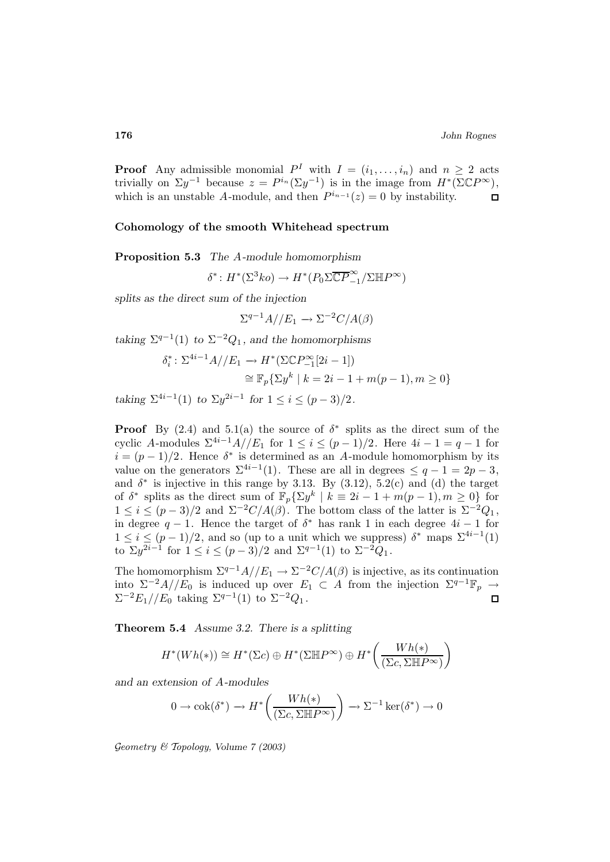**Proof** Any admissible monomial  $P^I$  with  $I = (i_1, \ldots, i_n)$  and  $n \geq 2$  acts trivially on  $\Sigma y^{-1}$  because  $z = P^{i_n}(\Sigma y^{-1})$  is in the image from  $H^*(\Sigma \mathbb{C}P^{\infty})$ , which is an unstable A-module, and then  $P^{i_{n-1}}(z) = 0$  by instability.  $\Box$ 

#### **Cohomology of the smooth Whitehead spectrum**

**Proposition 5.3** *The* A*-module homomorphism*

$$
\delta^*: H^*(\Sigma^3 ko) \to H^*(P_0\Sigma \overline{\mathbb{C}P}^{\infty}_{-1}/\Sigma \mathbb{H}P^{\infty})
$$

*splits as the direct sum of the injection*

$$
\Sigma^{q-1}A//E_1 \to \Sigma^{-2}C/A(\beta)
$$

*taking*  $\Sigma^{q-1}(1)$  *to*  $\Sigma^{-2}Q_1$ *, and the homomorphisms* 

$$
\delta_i^* : \Sigma^{4i-1} A // E_1 \to H^* (\Sigma \mathbb{C} P_{-1}^{\infty} [2i - 1])
$$
  
\n
$$
\cong \mathbb{F}_p \{ \Sigma y^k \mid k = 2i - 1 + m(p - 1), m \ge 0 \}
$$

*taking*  $\Sigma^{4i-1}(1)$  *to*  $\Sigma y^{2i-1}$  *for*  $1 \leq i \leq (p-3)/2$ *.* 

**Proof** By  $(2.4)$  and  $5.1(a)$  the source of  $\delta^*$  splits as the direct sum of the cyclic A-modules  $\sum_{i=1}^{4i-1} \frac{A}{E_1}$  for  $1 \le i \le (p-1)/2$ . Here  $4i-1=q-1$  for  $i = (p-1)/2$ . Hence  $\delta^*$  is determined as an A-module homomorphism by its value on the generators  $\Sigma^{4i-1}(1)$ . These are all in degrees  $\leq q-1=2p-3$ , and  $\delta^*$  is injective in this range by 3.13. By (3.12), 5.2(c) and (d) the target of  $\delta^*$  splits as the direct sum of  $\mathbb{F}_p\{\Sigma y^k \mid k \equiv 2i - 1 + m(p-1), m \ge 0\}$  for  $1 \leq i \leq (p-3)/2$  and  $\Sigma^{-2}C/A(\beta)$ . The bottom class of the latter is  $\Sigma^{-2}Q_1$ , in degree  $q - 1$ . Hence the target of  $\delta^*$  has rank 1 in each degree  $4i - 1$  for  $1 \leq i \leq (p-1)/2$ , and so (up to a unit which we suppress)  $\delta^*$  maps  $\Sigma^{4i-1}(1)$ to  $\sum y^{2i-1}$  for  $1 \le i \le (p-3)/2$  and  $\Sigma^{q-1}(1)$  to  $\Sigma^{-2}Q_1$ .

The homomorphism  $\Sigma^{q-1}A//E_1 \to \Sigma^{-2}C/A(\beta)$  is injective, as its continuation into  $\Sigma^{-2}A//E_0$  is induced up over  $E_1 \subset A$  from the injection  $\Sigma^{q-1}\mathbb{F}_p \to$  $\Sigma^{-2}E_1//E_0$  taking  $\Sigma^{q-1}(1)$  to  $\Sigma^{-2}Q_1$ .  $\Box$ 

**Theorem 5.4** *Assume 3.2. There is a splitting*

$$
H^*(Wh(*) ) \cong H^*(\Sigma c) \oplus H^*(\Sigma \mathbb{H} P^{\infty}) \oplus H^* \left( \frac{Wh(*)}{(\Sigma c, \Sigma \mathbb{H} P^{\infty})} \right)
$$

*and an extension of* A*-modules*

$$
0 \to \operatorname{cok}(\delta^*) \to H^* \left( \frac{Wh(*)}{(\Sigma c, \Sigma \mathbb{H} P^\infty)} \right) \to \Sigma^{-1} \ker(\delta^*) \to 0
$$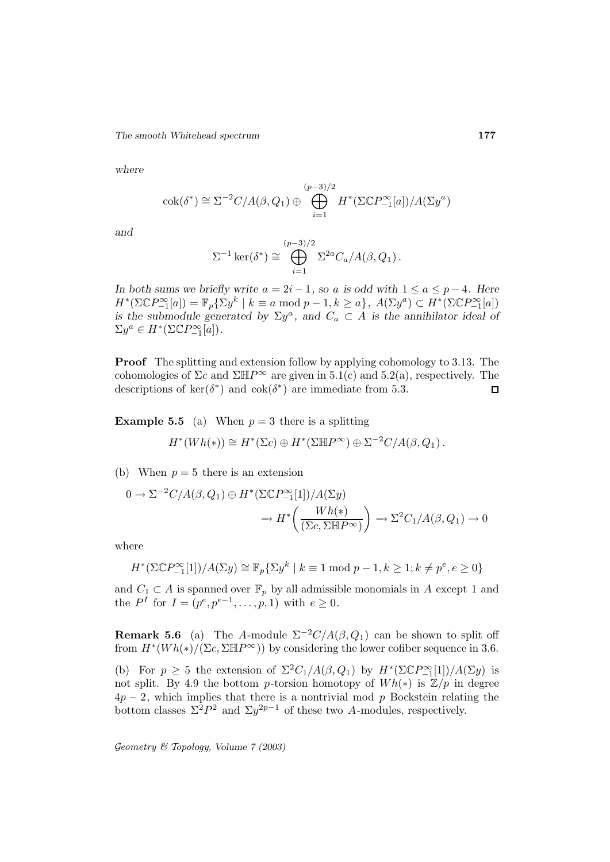*The smooth Whitehead spectrum* **177**

*where*

$$
\operatorname{cok}(\delta^*) \cong \Sigma^{-2} C/A(\beta, Q_1) \oplus \bigoplus_{i=1}^{(p-3)/2} H^*(\Sigma \mathbb{C} P_{-1}^{\infty}[a])/A(\Sigma y^a)
$$

*and*

$$
\Sigma^{-1}\ker(\delta^*) \cong \bigoplus_{i=1}^{(p-3)/2} \Sigma^{2a} C_a/A(\beta, Q_1).
$$

*In both sums we briefly write*  $a = 2i - 1$ *, so a is odd with*  $1 \le a \le p - 4$ *. Here*  $H^*(\Sigma \mathbb{C}P_{-1}^{\infty}[a]) = \mathbb{F}_p\{\Sigma y^k \mid k \equiv a \bmod p - 1, k \geq a\},\ A(\Sigma y^a) \subset H^*(\Sigma \mathbb{C}P_{-1}^{\infty}[a])$ *is the submodule generated by*  $\Sigma y^a$ , and  $C_a \subset A$  *is the annihilator ideal of*  $\Sigma y^a \in H^*(\Sigma \mathbb{C} P^\infty_{-1}[a]).$ 

**Proof** The splitting and extension follow by applying cohomology to 3.13. The cohomologies of  $\Sigma c$  and  $\Sigma \mathbb{H}P^{\infty}$  are given in 5.1(c) and 5.2(a), respectively. The descriptions of ker( $\delta^*$ ) and cok( $\delta^*$ ) are immediate from 5.3.  $\Box$ 

**Example 5.5** (a) When  $p = 3$  there is a splitting

$$
H^*(Wh(*)) \cong H^*(\Sigma c) \oplus H^*(\Sigma \mathbb{H} P^{\infty}) \oplus \Sigma^{-2} C/A(\beta,Q_1).
$$

(b) When  $p = 5$  there is an extension

$$
0 \to \Sigma^{-2} C/A(\beta, Q_1) \oplus H^*(\Sigma \mathbb{C} P_{-1}^{\infty}[1])/A(\Sigma y)
$$

$$
\to H^*\left(\frac{Wh(*)}{(\Sigma c, \Sigma \mathbb{H} P^{\infty})}\right) \to \Sigma^2 C_1/A(\beta, Q_1) \to 0
$$

where

$$
H^*(\Sigma \mathbb{C}P_{-1}^{\infty}[1])/A(\Sigma y) \cong \mathbb{F}_p{\{\Sigma y^k \mid k \equiv 1 \bmod p - 1, k \ge 1; k \ne p^e, e \ge 0\}}
$$

and  $C_1 \subset A$  is spanned over  $\mathbb{F}_p$  by all admissible monomials in A except 1 and the  $P<sup>I</sup>$  for  $I = (p<sup>e</sup>, p<sup>e-1</sup>, \ldots, p, 1)$  with  $e \ge 0$ .

**Remark 5.6** (a) The A-module  $\Sigma^{-2}C/A(\beta, Q_1)$  can be shown to split off from  $H^*(Wh(*)/(\Sigma c, \Sigma \mathbb{H}P^\infty))$  by considering the lower cofiber sequence in 3.6.

(b) For  $p \geq 5$  the extension of  $\Sigma^2 C_1/A(\beta, Q_1)$  by  $H^*(\Sigma \mathbb{C} P_{-1}^{\infty}[1])/A(\Sigma y)$  is not split. By 4.9 the bottom p-torsion homotopy of  $Wh(*)$  is  $\mathbb{Z}/p$  in degree  $4p-2$ , which implies that there is a nontrivial mod p Bockstein relating the bottom classes  $\Sigma^2 P^2$  and  $\Sigma y^{2p-1}$  of these two A-modules, respectively.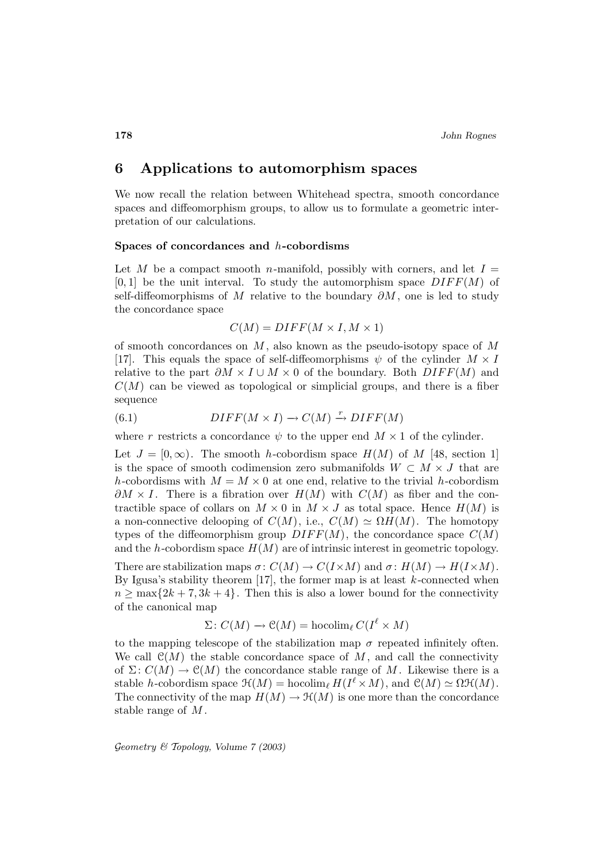# **6 Applications to automorphism spaces**

We now recall the relation between Whitehead spectra, smooth concordance spaces and diffeomorphism groups, to allow us to formulate a geometric interpretation of our calculations.

#### **Spaces of concordances and** h**-cobordisms**

Let M be a compact smooth n-manifold, possibly with corners, and let  $I =$  $[0, 1]$  be the unit interval. To study the automorphism space  $DIFF(M)$  of self-diffeomorphisms of M relative to the boundary  $\partial M$ , one is led to study the concordance space

$$
C(M) = DIFF(M \times I, M \times 1)
$$

of smooth concordances on  $M$ , also known as the pseudo-isotopy space of  $M$ [17]. This equals the space of self-diffeomorphisms  $\psi$  of the cylinder  $M \times I$ relative to the part  $\partial M \times I \cup M \times 0$  of the boundary. Both  $DIFF(M)$  and  $C(M)$  can be viewed as topological or simplicial groups, and there is a fiber sequence

(6.1) 
$$
DIFF(M \times I) \to C(M) \xrightarrow{r} DIFF(M)
$$

where r restricts a concordance  $\psi$  to the upper end  $M \times 1$  of the cylinder.

Let  $J = [0, \infty)$ . The smooth h-cobordism space  $H(M)$  of M [48, section 1] is the space of smooth codimension zero submanifolds  $W \subset M \times J$  that are h-cobordisms with  $M = M \times 0$  at one end, relative to the trivial h-cobordism  $\partial M \times I$ . There is a fibration over  $H(M)$  with  $C(M)$  as fiber and the contractible space of collars on  $M \times 0$  in  $M \times J$  as total space. Hence  $H(M)$  is a non-connective delooping of  $C(M)$ , i.e.,  $C(M) \simeq \Omega H(M)$ . The homotopy types of the diffeomorphism group  $DIFF(M)$ , the concordance space  $C(M)$ and the h-cobordism space  $H(M)$  are of intrinsic interest in geometric topology.

There are stabilization maps  $\sigma: C(M) \to C(I \times M)$  and  $\sigma: H(M) \to H(I \times M)$ . By Igusa's stability theorem  $[17]$ , the former map is at least k-connected when  $n \geq \max\{2k+7, 3k+4\}.$  Then this is also a lower bound for the connectivity of the canonical map

$$
\Sigma \colon C(M) \to \mathcal{C}(M) = \text{hocolim}_{\ell} C(I^{\ell} \times M)
$$

to the mapping telescope of the stabilization map  $\sigma$  repeated infinitely often. We call  $\mathcal{C}(M)$  the stable concordance space of M, and call the connectivity of  $\Sigma: C(M) \to \mathcal{C}(M)$  the concordance stable range of M. Likewise there is a stable h-cobordism space  $\mathcal{H}(M) = \text{hocolim}_{\ell} H(I^{\ell} \times M)$ , and  $\mathcal{C}(M) \simeq \Omega \mathcal{H}(M)$ . The connectivity of the map  $H(M) \to \mathcal{H}(M)$  is one more than the concordance stable range of M .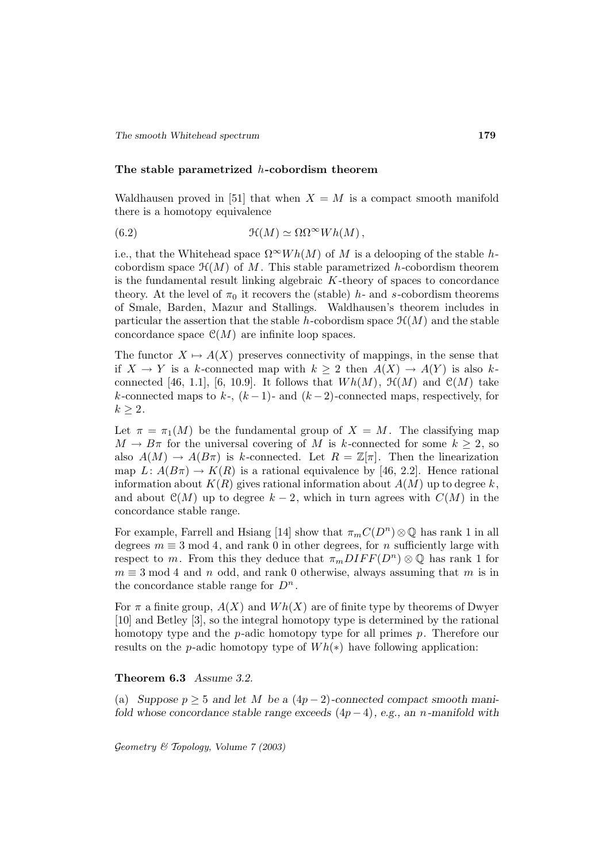### **The stable parametrized** h**-cobordism theorem**

Waldhausen proved in [51] that when  $X = M$  is a compact smooth manifold there is a homotopy equivalence

(6.2) 
$$
\mathfrak{H}(M) \simeq \Omega \Omega^{\infty} Wh(M) ,
$$

i.e., that the Whitehead space  $\Omega^{\infty}Wh(M)$  of M is a delooping of the stable hcobordism space  $\mathfrak{H}(M)$  of M. This stable parametrized h-cobordism theorem is the fundamental result linking algebraic  $K$ -theory of spaces to concordance theory. At the level of  $\pi_0$  it recovers the (stable) h- and s-cobordism theorems of Smale, Barden, Mazur and Stallings. Waldhausen's theorem includes in particular the assertion that the stable h-cobordism space  $\mathcal{H}(M)$  and the stable concordance space  $\mathcal{C}(M)$  are infinite loop spaces.

The functor  $X \mapsto A(X)$  preserves connectivity of mappings, in the sense that if  $X \to Y$  is a k-connected map with  $k \geq 2$  then  $A(X) \to A(Y)$  is also kconnected [46, 1.1], [6, 10.9]. It follows that  $Wh(M)$ ,  $\mathcal{H}(M)$  and  $\mathcal{C}(M)$  take k-connected maps to k-,  $(k-1)$ - and  $(k-2)$ -connected maps, respectively, for  $k \geq 2$ .

Let  $\pi = \pi_1(M)$  be the fundamental group of  $X = M$ . The classifying map  $M \to B\pi$  for the universal covering of M is k-connected for some  $k \geq 2$ , so also  $A(M) \to A(B\pi)$  is k-connected. Let  $R = \mathbb{Z}[\pi]$ . Then the linearization map  $L: A(B\pi) \to K(R)$  is a rational equivalence by [46, 2.2]. Hence rational information about  $K(R)$  gives rational information about  $A(M)$  up to degree k, and about  $\mathcal{C}(M)$  up to degree  $k-2$ , which in turn agrees with  $C(M)$  in the concordance stable range.

For example, Farrell and Hsiang [14] show that  $\pi_m C(D^n) \otimes \mathbb{Q}$  has rank 1 in all degrees  $m \equiv 3 \mod 4$ , and rank 0 in other degrees, for n sufficiently large with respect to m. From this they deduce that  $\pi_m DIFF(D^n) \otimes \mathbb{Q}$  has rank 1 for  $m \equiv 3 \mod 4$  and n odd, and rank 0 otherwise, always assuming that m is in the concordance stable range for  $D^n$ .

For  $\pi$  a finite group,  $A(X)$  and  $Wh(X)$  are of finite type by theorems of Dwyer [10] and Betley [3], so the integral homotopy type is determined by the rational homotopy type and the  $p$ -adic homotopy type for all primes  $p$ . Therefore our results on the p-adic homotopy type of  $Wh(*)$  have following application:

## **Theorem 6.3** *Assume 3.2.*

(a) *Suppose*  $p \geq 5$  *and let* M *be a*  $(4p-2)$ -connected compact smooth mani*fold whose concordance stable range exceeds* (4p − 4)*, e.g., an* n*-manifold with*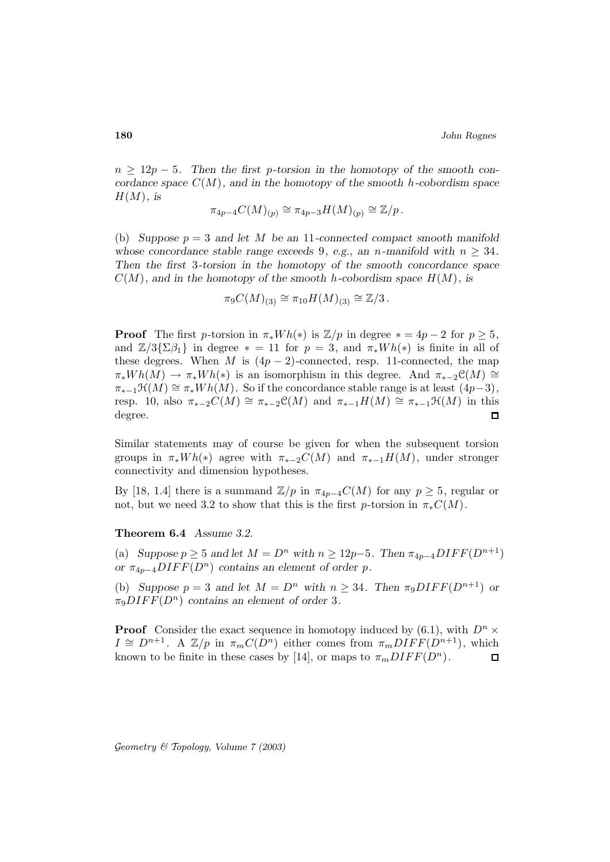n ≥ 12p − 5*. Then the first* p*-torsion in the homotopy of the smooth concordance space* C(M)*, and in the homotopy of the smooth* h*-cobordism space*  $H(M)$ *, is* 

$$
\pi_{4p-4}C(M)_{(p)} \cong \pi_{4p-3}H(M)_{(p)} \cong \mathbb{Z}/p.
$$

(b) *Suppose*  $p = 3$  *and let* M *be an* 11-connected compact smooth manifold *whose concordance stable range exceeds* 9*, e.g., an n*-manifold with  $n \geq 34$ . *Then the first* 3*-torsion in the homotopy of the smooth concordance space*  $C(M)$ *, and in the homotopy of the smooth* h-cobordism space  $H(M)$ *, is* 

$$
\pi_9 C(M)_{(3)} \cong \pi_{10} H(M)_{(3)} \cong \mathbb{Z}/3.
$$

**Proof** The first p-torsion in  $\pi_* Wh(*)$  is  $\mathbb{Z}/p$  in degree  $* = 4p - 2$  for  $p \geq 5$ , and  $\mathbb{Z}/3\{\Sigma\beta_1\}$  in degree  $* = 11$  for  $p = 3$ , and  $\pi_*Wh(*)$  is finite in all of these degrees. When M is  $(4p - 2)$ -connected, resp. 11-connected, the map  $\pi_*Wh(M) \to \pi_*Wh(*)$  is an isomorphism in this degree. And  $\pi_{*-2}C(M) \cong$  $\pi_{*-1} \mathcal{H}(M) \cong \pi_* Wh(M)$ . So if the concordance stable range is at least  $(4p-3)$ , resp. 10, also  $\pi_{*-2}C(M) \cong \pi_{*-2}C(M)$  and  $\pi_{*-1}H(M) \cong \pi_{*-1}H(M)$  in this degree. degree.

Similar statements may of course be given for when the subsequent torsion groups in  $\pi_* Wh(*)$  agree with  $\pi_{*-2}C(M)$  and  $\pi_{*-1}H(M)$ , under stronger connectivity and dimension hypotheses.

By [18, 1.4] there is a summand  $\mathbb{Z}/p$  in  $\pi_{4p-4}C(M)$  for any  $p \geq 5$ , regular or not, but we need 3.2 to show that this is the first p-torsion in  $\pi_* C(M)$ .

## **Theorem 6.4** *Assume 3.2.*

(a) *Suppose*  $p \geq 5$  *and let*  $M = D^n$  *with*  $n \geq 12p-5$ *. Then*  $\pi_{4p-4} DIFF(D^{n+1})$ *or*  $\pi_{4p-4}$ *DIFF*( $D^n$ ) *contains an element of order p.* 

(b) *Suppose*  $p = 3$  *and let*  $M = D^n$  *with*  $n \geq 34$ *. Then*  $\pi_9 DIFF(D^{n+1})$  *or*  $\pi_9 DIFF(D^n)$  *contains an element of order* 3.

**Proof** Consider the exact sequence in homotopy induced by (6.1), with  $D^n \times$  $I \cong D^{n+1}$ . A  $\mathbb{Z}/p$  in  $\pi_m C(D^n)$  either comes from  $\pi_m DIFF(D^{n+1})$ , which known to be finite in these cases by [14], or maps to  $\pi_m DIFF(D^n)$ . Π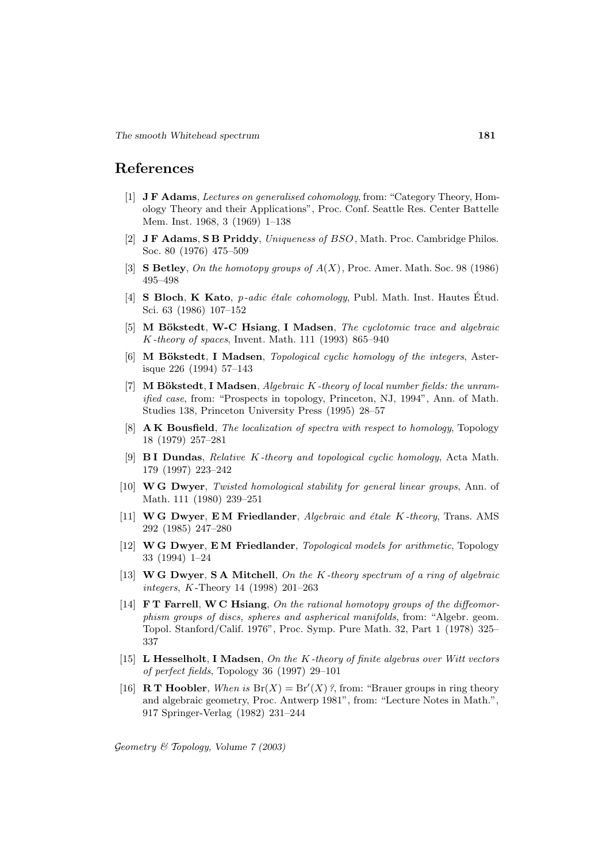# **References**

- [1] **J F Adams**, Lectures on generalised cohomology, from: "Category Theory, Homology Theory and their Applications", Proc. Conf. Seattle Res. Center Battelle Mem. Inst. 1968, 3 (1969) 1–138
- [2] **J F Adams**, **S B Priddy**, Uniqueness of BSO, Math. Proc. Cambridge Philos. Soc. 80 (1976) 475–509
- [3] **S Betley**, On the homotopy groups of A(X), Proc. Amer. Math. Soc. 98 (1986) 495–498
- [4] **S Bloch, K Kato**, *p-adic étale cohomology*, Publ. Math. Inst. Hautes Étud. Sci. 63 (1986) 107–152
- [5] **M Bökstedt**, **W-C Hsiang**, **I Madsen**, *The cyclotomic trace and algebraic* K -theory of spaces, Invent. Math. 111 (1993) 865–940
- [6] **M Bökstedt**, **I Madsen**, *Topological cyclic homology of the integers*, Asterisque 226 (1994) 57–143
- [7] **M Bökstedt**, **I Madsen**, *Algebraic K-theory of local number fields: the unram*ified case, from: "Prospects in topology, Princeton, NJ, 1994", Ann. of Math. Studies 138, Princeton University Press (1995) 28–57
- [8] **A K Bousfield**, The localization of spectra with respect to homology, Topology 18 (1979) 257–281
- [9] **B I Dundas**, Relative K -theory and topological cyclic homology, Acta Math. 179 (1997) 223–242
- [10] **W G Dwyer**, Twisted homological stability for general linear groups, Ann. of Math. 111 (1980) 239–251
- [11] **W G Dwyer**, **E M Friedlander**, Algebraic and ´etale K -theory, Trans. AMS 292 (1985) 247–280
- [12] **W G Dwyer**, **E M Friedlander**, Topological models for arithmetic, Topology 33 (1994) 1–24
- [13] **W G Dwyer**, **S A Mitchell**, On the K -theory spectrum of a ring of algebraic integers, K -Theory 14 (1998) 201–263
- [14] **F T Farrell**, **W C Hsiang**, On the rational homotopy groups of the diffeomorphism groups of discs, spheres and aspherical manifolds, from: "Algebr. geom. Topol. Stanford/Calif. 1976", Proc. Symp. Pure Math. 32, Part 1 (1978) 325– 337
- [15] **L Hesselholt**, **I Madsen**, On the K -theory of finite algebras over Witt vectors of perfect fields, Topology 36 (1997) 29–101
- [16] **R T Hoobler**, When is  $Br(X) = Br'(X)$ ?, from: "Brauer groups in ring theory and algebraic geometry, Proc. Antwerp 1981", from: "Lecture Notes in Math.", 917 Springer-Verlag (1982) 231–244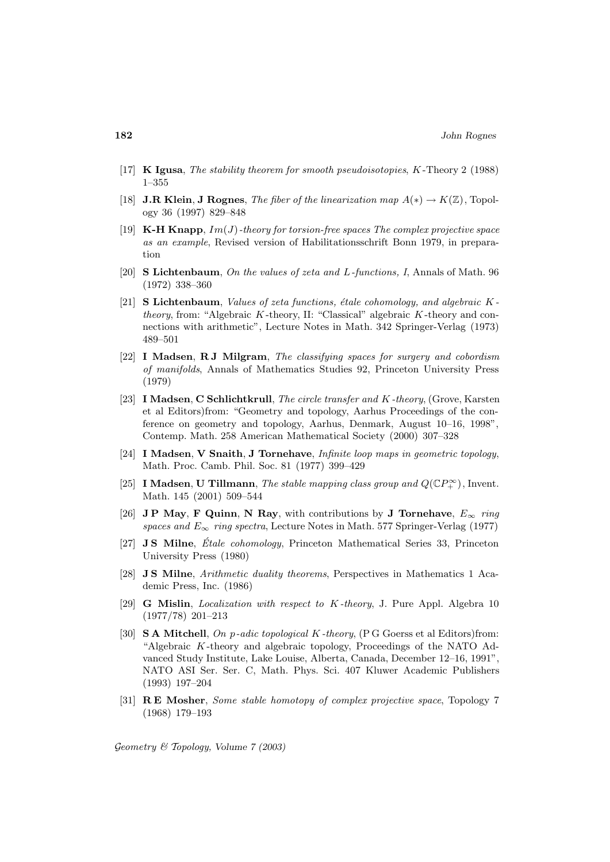- [17] **K Igusa**, The stability theorem for smooth pseudoisotopies, K -Theory 2 (1988) 1–355
- [18] **J.R Klein**, **J Rognes**, *The fiber of the linearization map*  $A(*) \rightarrow K(\mathbb{Z})$ , Topology 36 (1997) 829–848
- $[19]$  **K-H Knapp**,  $Im(J)$ -theory for torsion-free spaces The complex projective space as an example, Revised version of Habilitationsschrift Bonn 1979, in preparation
- [20] **S Lichtenbaum**, On the values of zeta and L-functions, I, Annals of Math. 96 (1972) 338–360
- [21] **S Lichtenbaum**, Values of zeta functions, étale cohomology, and algebraic K theory, from: "Algebraic  $K$ -theory, II: "Classical" algebraic  $K$ -theory and connections with arithmetic", Lecture Notes in Math. 342 Springer-Verlag (1973) 489–501
- [22] **I Madsen**, **R J Milgram**, The classifying spaces for surgery and cobordism of manifolds, Annals of Mathematics Studies 92, Princeton University Press (1979)
- [23] **I Madsen**, **C Schlichtkrull**, The circle transfer and K -theory, (Grove, Karsten et al Editors)from: "Geometry and topology, Aarhus Proceedings of the conference on geometry and topology, Aarhus, Denmark, August 10–16, 1998", Contemp. Math. 258 American Mathematical Society (2000) 307–328
- [24] **I Madsen**, **V Snaith**, **J Tornehave**, Infinite loop maps in geometric topology, Math. Proc. Camb. Phil. Soc. 81 (1977) 399–429
- [25] **I Madsen, U Tillmann**, *The stable mapping class group and*  $Q(\mathbb{C}P_+^{\infty})$ , Invent. Math. 145 (2001) 509–544
- [26] **JP May, F Quinn, N Ray,** with contributions by **J Tornehave**,  $E_{\infty}$  ring spaces and  $E_{\infty}$  ring spectra, Lecture Notes in Math. 577 Springer-Verlag (1977)
- [27] **J S Milne**, *Étale cohomology*, Princeton Mathematical Series 33, Princeton University Press (1980)
- [28] **J S Milne**, Arithmetic duality theorems, Perspectives in Mathematics 1 Academic Press, Inc. (1986)
- [29] **G Mislin**, Localization with respect to K -theory, J. Pure Appl. Algebra 10 (1977/78) 201–213
- [30] **S A Mitchell**, On p-adic topological K-theory, (P G Goerss et al Editors)from: "Algebraic  $K$ -theory and algebraic topology, Proceedings of the NATO Advanced Study Institute, Lake Louise, Alberta, Canada, December 12–16, 1991", NATO ASI Ser. Ser. C, Math. Phys. Sci. 407 Kluwer Academic Publishers (1993) 197–204
- [31] **R E Mosher**, Some stable homotopy of complex projective space, Topology 7 (1968) 179–193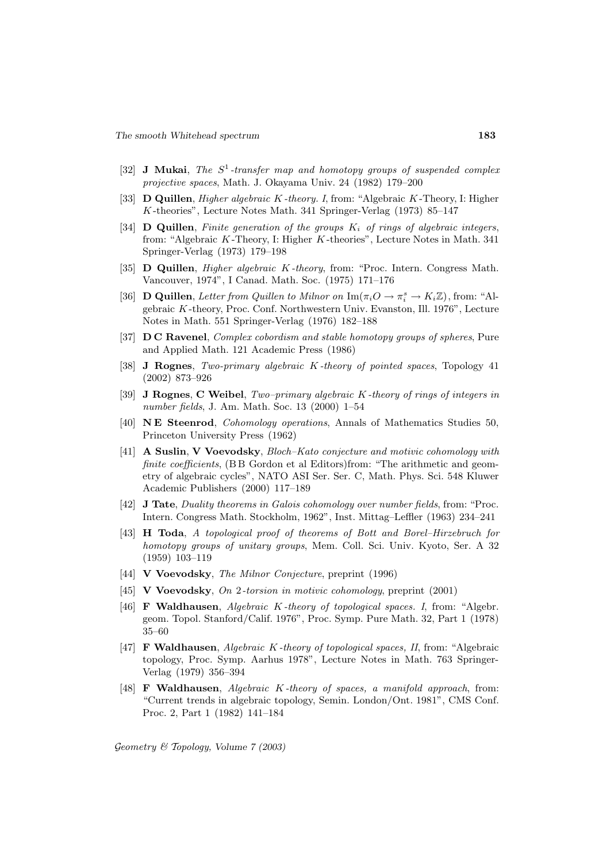- [32] **J Mukai**, The  $S^1$ -transfer map and homotopy groups of suspended complex projective spaces, Math. J. Okayama Univ. 24 (1982) 179–200
- [33] **D Quillen**, *Higher algebraic K*-theory. I, from: "Algebraic K-Theory, I: Higher K -theories", Lecture Notes Math. 341 Springer-Verlag (1973) 85–147
- [34]  $\bf{D}$  **Quillen**, Finite generation of the groups  $K_i$  of rings of algebraic integers, from: "Algebraic K -Theory, I: Higher K -theories", Lecture Notes in Math. 341 Springer-Verlag (1973) 179–198
- [35] **D Quillen**, Higher algebraic K -theory, from: "Proc. Intern. Congress Math. Vancouver, 1974", I Canad. Math. Soc. (1975) 171–176
- [36] **D Quillen**, Letter from Quillen to Milnor on  $\text{Im}(\pi_i O \to \pi_i^s \to K_i \mathbb{Z})$ , from: "Algebraic K -theory, Proc. Conf. Northwestern Univ. Evanston, Ill. 1976", Lecture Notes in Math. 551 Springer-Verlag (1976) 182–188
- [37] **D C Ravenel**, Complex cobordism and stable homotopy groups of spheres, Pure and Applied Math. 121 Academic Press (1986)
- [38] **J Rognes**, Two-primary algebraic K -theory of pointed spaces, Topology 41 (2002) 873–926
- [39] **J Rognes**, **C Weibel**, Two–primary algebraic K -theory of rings of integers in number fields, J. Am. Math. Soc. 13 (2000) 1–54
- [40] **N E Steenrod**, Cohomology operations, Annals of Mathematics Studies 50, Princeton University Press (1962)
- [41] **A Suslin**, **V Voevodsky**, Bloch–Kato conjecture and motivic cohomology with finite coefficients, (BB Gordon et al Editors)from: "The arithmetic and geometry of algebraic cycles", NATO ASI Ser. Ser. C, Math. Phys. Sci. 548 Kluwer Academic Publishers (2000) 117–189
- [42] **J Tate**, Duality theorems in Galois cohomology over number fields, from: "Proc. Intern. Congress Math. Stockholm, 1962", Inst. Mittag–Leffler (1963) 234–241
- [43] **H Toda**, A topological proof of theorems of Bott and Borel–Hirzebruch for homotopy groups of unitary groups, Mem. Coll. Sci. Univ. Kyoto, Ser. A 32 (1959) 103–119
- [44] **V Voevodsky**, The Milnor Conjecture, preprint (1996)
- [45] **V Voevodsky**, On 2-torsion in motivic cohomology, preprint (2001)
- [46] **F Waldhausen**, Algebraic K -theory of topological spaces. I, from: "Algebr. geom. Topol. Stanford/Calif. 1976", Proc. Symp. Pure Math. 32, Part 1 (1978) 35–60
- [47] **F Waldhausen**, Algebraic K -theory of topological spaces, II, from: "Algebraic topology, Proc. Symp. Aarhus 1978", Lecture Notes in Math. 763 Springer-Verlag (1979) 356–394
- [48] **F Waldhausen**, Algebraic K -theory of spaces, a manifold approach, from: "Current trends in algebraic topology, Semin. London/Ont. 1981", CMS Conf. Proc. 2, Part 1 (1982) 141–184